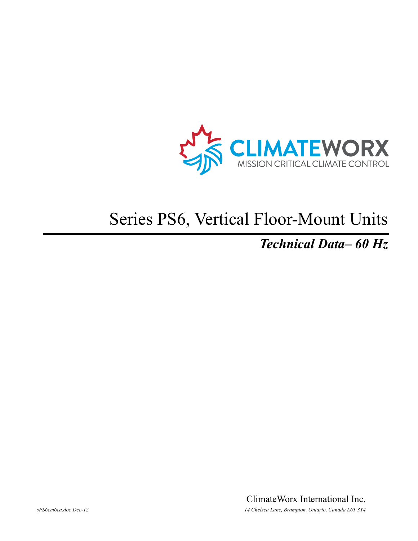

# Series PS6, Vertical Floor-Mount Units

### *Technical Data– 60 Hz*

ClimateWorx International Inc. *sPS6em6ea.doc Dec-12 14 Chelsea Lane, Brampton, Ontario, Canada L6T 3Y4*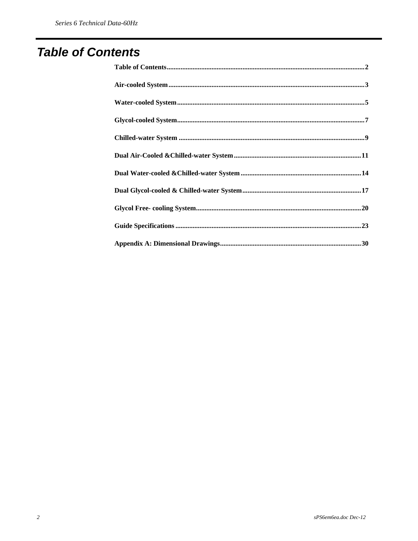### **Table of Contents**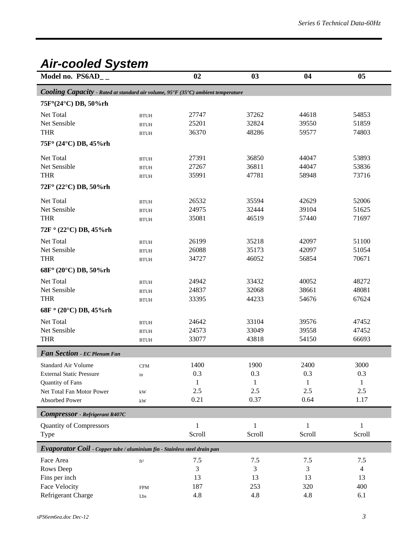### *Air-cooled System*

| Model no. PS6AD__                                                                                         |                | 02           | 03           | 04           | 05             |
|-----------------------------------------------------------------------------------------------------------|----------------|--------------|--------------|--------------|----------------|
| <b>Cooling Capacity</b> - Rated at standard air volume, $95^\circ F$ (35 $^\circ C$ ) ambient temperature |                |              |              |              |                |
| 75F°(24°C) DB, 50%rh                                                                                      |                |              |              |              |                |
| Net Total                                                                                                 | <b>BTUH</b>    | 27747        | 37262        | 44618        | 54853          |
| Net Sensible                                                                                              | <b>BTUH</b>    | 25201        | 32824        | 39550        | 51859          |
| <b>THR</b>                                                                                                | <b>BTUH</b>    | 36370        | 48286        | 59577        | 74803          |
| 75F° (24°C) DB, 45%rh                                                                                     |                |              |              |              |                |
| Net Total                                                                                                 | <b>BTUH</b>    | 27391        | 36850        | 44047        | 53893          |
| Net Sensible                                                                                              | <b>BTUH</b>    | 27267        | 36811        | 44047        | 53836          |
| <b>THR</b>                                                                                                | <b>BTUH</b>    | 35991        | 47781        | 58948        | 73716          |
| 72F° (22°C) DB, 50%rh                                                                                     |                |              |              |              |                |
| Net Total                                                                                                 | <b>BTUH</b>    | 26532        | 35594        | 42629        | 52006          |
| Net Sensible                                                                                              | <b>BTUH</b>    | 24975        | 32444        | 39104        | 51625          |
| <b>THR</b>                                                                                                | <b>BTUH</b>    | 35081        | 46519        | 57440        | 71697          |
| $72F$ ° (22°C) DB, 45%rh                                                                                  |                |              |              |              |                |
| Net Total                                                                                                 | <b>BTUH</b>    | 26199        | 35218        | 42097        | 51100          |
| Net Sensible                                                                                              | <b>BTUH</b>    | 26088        | 35173        | 42097        | 51054          |
| <b>THR</b>                                                                                                | <b>BTUH</b>    | 34727        | 46052        | 56854        | 70671          |
| 68F° (20°C) DB, 50%rh                                                                                     |                |              |              |              |                |
| Net Total                                                                                                 | <b>BTUH</b>    | 24942        | 33432        | 40052        | 48272          |
| Net Sensible                                                                                              | <b>BTUH</b>    | 24837        | 32068        | 38661        | 48081          |
| <b>THR</b>                                                                                                | <b>BTUH</b>    | 33395        | 44233        | 54676        | 67624          |
| 68F ° (20°C) DB, 45%rh                                                                                    |                |              |              |              |                |
| Net Total                                                                                                 | <b>BTUH</b>    | 24642        | 33104        | 39576        | 47452          |
| Net Sensible                                                                                              | <b>BTUH</b>    | 24573        | 33049        | 39558        | 47452          |
| <b>THR</b>                                                                                                | <b>BTUH</b>    | 33077        | 43818        | 54150        | 66693          |
| Fan Section - EC Plenum Fan                                                                               |                |              |              |              |                |
| <b>Standard Air Volume</b>                                                                                | $\mathbf{CFM}$ | 1400         | 1900         | 2400         | 3000           |
| <b>External Static Pressure</b>                                                                           | in             | 0.3          | 0.3          | 0.3          | 0.3            |
| Quantity of Fans                                                                                          |                | 1            | $\mathbf{1}$ | 1            | 1              |
| Net Total Fan Motor Power                                                                                 | kW             | 2.5          | 2.5          | 2.5          | 2.5            |
| <b>Absorbed Power</b>                                                                                     | kW             | 0.21         | 0.37         | 0.64         | 1.17           |
| <b>Compressor</b> - Refrigerant R407C                                                                     |                |              |              |              |                |
| <b>Quantity of Compressors</b>                                                                            |                | $\mathbf{1}$ | $\mathbf{1}$ | $\mathbf{1}$ | $\mathbf{1}$   |
| Type                                                                                                      |                | Scroll       | Scroll       | Scroll       | Scroll         |
| Evaporator Coil - Copper tube / aluminium fin - Stainless steel drain pan                                 |                |              |              |              |                |
| Face Area                                                                                                 | $\rm ft^2$     | 7.5          | 7.5          | 7.5          | 7.5            |
| Rows Deep                                                                                                 |                | 3            | 3            | 3            | $\overline{4}$ |
| Fins per inch                                                                                             |                | 13           | 13           | 13           | 13             |
| <b>Face Velocity</b>                                                                                      | <b>FPM</b>     | 187          | 253          | 320          | 400            |
| Refrigerant Charge                                                                                        | Lbs            | 4.8          | 4.8          | 4.8          | 6.1            |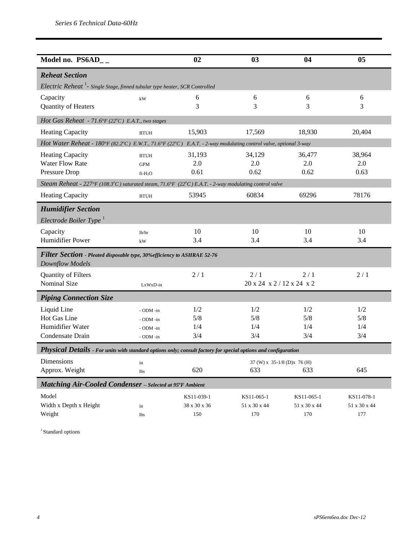| Model no. $PS6AD_{-}$                                                                                                |             | 02           | 03                           | 04           | 05           |
|----------------------------------------------------------------------------------------------------------------------|-------------|--------------|------------------------------|--------------|--------------|
| <b>Reheat Section</b>                                                                                                |             |              |                              |              |              |
| Electric Reheat <sup>1</sup> - Single Stage, finned tubular type heater, SCR Controlled                              |             |              |                              |              |              |
| Capacity                                                                                                             | kW          | 6            | 6                            | 6            | 6            |
| Quantity of Heaters                                                                                                  |             | 3            | 3                            | 3            | 3            |
| Hot Gas Reheat - 71.6°F (22°C) E.A.T., two stages                                                                    |             |              |                              |              |              |
| Heating Capacity                                                                                                     | <b>BTUH</b> | 15,903       | 17,569                       | 18,930       | 20,404       |
| Hot Water Reheat - 180°F (82.2°C) E.W.T., 71.6°F (22°C) E.A.T. - 2-way modulating control valve, optional 3-way      |             |              |                              |              |              |
| <b>Heating Capacity</b>                                                                                              | <b>BTUH</b> | 31,193       | 34,129                       | 36,477       | 38,964       |
| <b>Water Flow Rate</b>                                                                                               | <b>GPM</b>  | 2.0          | 2.0                          | 2.0          | 2.0          |
| Pressure Drop                                                                                                        | $ft-H2O$    | 0.61         | 0.62                         | 0.62         | 0.63         |
| Steam Reheat - $227^{\circ}F(108.3^{\circ}C)$ saturated steam, 71.6°F (22°C) E.A.T. - 2-way modulating control valve |             |              |                              |              |              |
| <b>Heating Capacity</b>                                                                                              | <b>BTUH</b> | 53945        | 60834                        | 69296        | 78176        |
| <b>Humidifier Section</b>                                                                                            |             |              |                              |              |              |
| Electrode Boiler Type $^1$                                                                                           |             |              |                              |              |              |
| Capacity                                                                                                             | lb/hr       | 10           | 10                           | 10           | 10           |
| Humidifier Power                                                                                                     | kW          | 3.4          | 3.4                          | 3.4          | 3.4          |
| Filter Section - Pleated disposable type, 30% efficiency to ASHRAE 52-76                                             |             |              |                              |              |              |
| <b>Downflow Models</b>                                                                                               |             |              |                              |              |              |
| Quantity of Filters                                                                                                  |             | 2/1          | 2/1                          | 2/1          | 2/1          |
| Nominal Size                                                                                                         | LxWxD-in    |              | 20 x 24 x 2 / 12 x 24 x 2    |              |              |
| <b>Piping Connection Size</b>                                                                                        |             |              |                              |              |              |
| Liquid Line                                                                                                          | - ODM -in   | 1/2          | 1/2                          | 1/2          | 1/2          |
| Hot Gas Line                                                                                                         | - ODM -in   | 5/8          | 5/8                          | 5/8          | 5/8          |
| Humidifier Water                                                                                                     | - ODM -in   | 1/4          | 1/4                          | 1/4          | 1/4          |
| Condensate Drain                                                                                                     | - ODM -in   | 3/4          | 3/4                          | 3/4          | 3/4          |
| Physical Details - For units with standard options only; consult factory for special options and configuration       |             |              |                              |              |              |
| <b>Dimensions</b>                                                                                                    | in          |              | 37 (W) x 35-1/8 (D) x 76 (H) |              |              |
| Approx. Weight                                                                                                       | <b>lbs</b>  | 620          | 633                          | 633          | 645          |
| <b>Matching Air-Cooled Condenser</b> - Selected at 95°F Ambient                                                      |             |              |                              |              |              |
| Model                                                                                                                |             | KS11-039-1   | KS11-065-1                   | KS11-065-1   | KS11-078-1   |
| Width x Depth x Height                                                                                               | in          | 38 x 30 x 36 | 51 x 30 x 44                 | 51 x 30 x 44 | 51 x 30 x 44 |
| Weight                                                                                                               | <b>lbs</b>  | 150          | 170                          | 170          | 177          |

 $^{\rm 1}$  Standard options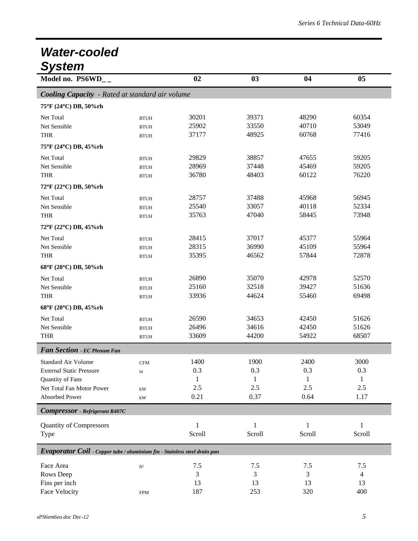### *Water-cooled System*

| Model no. PS6WD__                                                         |                        | 02           | 03           | 04           | 05           |
|---------------------------------------------------------------------------|------------------------|--------------|--------------|--------------|--------------|
| <b>Cooling Capacity</b> - Rated at standard air volume                    |                        |              |              |              |              |
| 75°F (24°C) DB, 50%rh                                                     |                        |              |              |              |              |
| Net Total                                                                 | <b>BTUH</b>            | 30201        | 39371        | 48290        | 60354        |
| Net Sensible                                                              | <b>BTUH</b>            | 25902        | 33550        | 40710        | 53049        |
| <b>THR</b>                                                                | <b>BTUH</b>            | 37177        | 48925        | 60768        | 77416        |
| 75°F (24°C) DB, 45%rh                                                     |                        |              |              |              |              |
| Net Total                                                                 | <b>BTUH</b>            | 29829        | 38857        | 47655        | 59205        |
| Net Sensible                                                              | <b>BTUH</b>            | 28969        | 37448        | 45469        | 59205        |
| <b>THR</b>                                                                | <b>BTUH</b>            | 36780        | 48403        | 60122        | 76220        |
| 72°F (22°C) DB, 50%rh                                                     |                        |              |              |              |              |
| Net Total                                                                 | <b>BTUH</b>            | 28757        | 37488        | 45968        | 56945        |
| Net Sensible                                                              | <b>BTUH</b>            | 25540        | 33057        | 40118        | 52334        |
| <b>THR</b>                                                                | <b>BTUH</b>            | 35763        | 47040        | 58445        | 73948        |
| 72°F (22°C) DB, 45%rh                                                     |                        |              |              |              |              |
| Net Total                                                                 | <b>BTUH</b>            | 28415        | 37017        | 45377        | 55964        |
| Net Sensible                                                              | <b>BTUH</b>            | 28315        | 36990        | 45109        | 55964        |
| <b>THR</b>                                                                | <b>BTUH</b>            | 35395        | 46562        | 57844        | 72878        |
| 68°F (20°C) DB, 50%rh                                                     |                        |              |              |              |              |
| Net Total                                                                 | <b>BTUH</b>            | 26890        | 35070        | 42978        | 52570        |
| Net Sensible                                                              | <b>BTUH</b>            | 25160        | 32518        | 39427        | 51636        |
| <b>THR</b>                                                                | <b>BTUH</b>            | 33936        | 44624        | 55460        | 69498        |
| 68°F (20°C) DB, 45%rh                                                     |                        |              |              |              |              |
| Net Total                                                                 | <b>BTUH</b>            | 26590        | 34653        | 42450        | 51626        |
| Net Sensible                                                              | <b>BTUH</b>            | 26496        | 34616        | 42450        | 51626        |
| <b>THR</b>                                                                | <b>BTUH</b>            | 33609        | 44200        | 54922        | 68507        |
| Fan Section - EC Plenum Fan                                               |                        |              |              |              |              |
| <b>Standard Air Volume</b>                                                | <b>CFM</b>             | 1400         | 1900         | 2400         | 3000         |
| <b>External Static Pressure</b>                                           | in                     | 0.3          | 0.3          | 0.3          | 0.3          |
| Quantity of Fans                                                          |                        | $\mathbf{1}$ | $\mathbf{1}$ | $\mathbf{1}$ | $\mathbf{1}$ |
| Net Total Fan Motor Power                                                 | kW                     | 2.5          | 2.5          | 2.5          | 2.5          |
| Absorbed Power                                                            | $\mathbf{k}\mathbf{W}$ | 0.21         | 0.37         | 0.64         | 1.17         |
| <b>Compressor</b> - Refrigerant R407C                                     |                        |              |              |              |              |
| <b>Quantity of Compressors</b>                                            |                        | $\mathbf{1}$ | $\mathbf{1}$ | $\mathbf{1}$ | 1            |
| Type                                                                      |                        | Scroll       | Scroll       | Scroll       | Scroll       |
|                                                                           |                        |              |              |              |              |
| Evaporator Coil - Copper tube / aluminium fin - Stainless steel drain pan |                        |              |              |              |              |
| Face Area                                                                 | ft <sup>2</sup>        | 7.5          | 7.5          | 7.5          | 7.5          |
| Rows Deep                                                                 |                        | 3            | 3            | 3            | 4            |
| Fins per inch                                                             |                        | 13           | 13           | 13           | 13           |
| Face Velocity                                                             | ${\rm FPM}$            | 187          | 253          | 320          | 400          |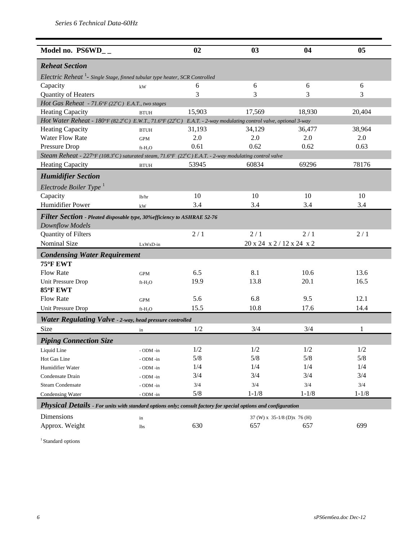| Model no. $PS6WD_{-}$                                                                                           |                     | 02     | 03                           | 04        | 05        |
|-----------------------------------------------------------------------------------------------------------------|---------------------|--------|------------------------------|-----------|-----------|
|                                                                                                                 |                     |        |                              |           |           |
| <b>Reheat Section</b>                                                                                           |                     |        |                              |           |           |
| Electric Reheat <sup>1</sup> - Single Stage, finned tubular type heater, SCR Controlled                         |                     |        |                              |           |           |
| Capacity                                                                                                        | kW                  | 6      | 6                            | 6         | 6         |
| Quantity of Heaters                                                                                             |                     | 3      | 3                            | 3         | 3         |
| Hot Gas Reheat - 71.6°F (22°C) E.A.T., two stages                                                               |                     |        |                              |           |           |
| <b>Heating Capacity</b>                                                                                         | <b>BTUH</b>         | 15,903 | 17,569                       | 18,930    | 20,404    |
| Hot Water Reheat - 180°F (82.2°C) E.W.T., 71.6°F (22°C) E.A.T. - 2-way modulating control valve, optional 3-way |                     |        |                              |           |           |
| Heating Capacity                                                                                                | <b>BTUH</b>         | 31,193 | 34,129                       | 36,477    | 38,964    |
| <b>Water Flow Rate</b>                                                                                          | <b>GPM</b>          | 2.0    | 2.0                          | 2.0       | 2.0       |
| Pressure Drop                                                                                                   | $ft-H2O$            | 0.61   | 0.62                         | 0.62      | 0.63      |
| Steam Reheat - 227°F (108.3°C) saturated steam, 71.6°F (22°C) E.A.T. - 2-way modulating control valve           |                     |        |                              |           |           |
| <b>Heating Capacity</b>                                                                                         | <b>BTUH</b>         | 53945  | 60834                        | 69296     | 78176     |
| <b>Humidifier Section</b>                                                                                       |                     |        |                              |           |           |
| Electrode Boiler Type $^1$                                                                                      |                     |        |                              |           |           |
| Capacity                                                                                                        | lb/hr               | 10     | 10                           | 10        | 10        |
| Humidifier Power                                                                                                | kW                  | 3.4    | 3.4                          | 3.4       | 3.4       |
| Filter Section - Pleated disposable type, 30% efficiency to ASHRAE 52-76                                        |                     |        |                              |           |           |
| <b>Downflow Models</b>                                                                                          |                     |        |                              |           |           |
| <b>Quantity of Filters</b>                                                                                      |                     | 2/1    | 2/1                          | 2/1       | 2/1       |
| <b>Nominal Size</b>                                                                                             | LxWxD-in            |        | 20 x 24 x 2 / 12 x 24 x 2    |           |           |
| <b>Condensing Water Requirement</b>                                                                             |                     |        |                              |           |           |
| 75°F EWT                                                                                                        |                     |        |                              |           |           |
| Flow Rate                                                                                                       | <b>GPM</b>          | 6.5    | 8.1                          | 10.6      | 13.6      |
| Unit Pressure Drop                                                                                              | $ft-H2O$            | 19.9   | 13.8                         | 20.1      | 16.5      |
| 85°F EWT                                                                                                        |                     |        |                              |           |           |
| <b>Flow Rate</b>                                                                                                | <b>GPM</b>          | 5.6    | 6.8                          | 9.5       | 12.1      |
| Unit Pressure Drop                                                                                              | ft-H <sub>2</sub> O | 15.5   | 10.8                         | 17.6      | 14.4      |
| Water Regulating Valve - 2-way, head pressure controlled                                                        |                     |        |                              |           |           |
| Size                                                                                                            | in                  | 1/2    | 3/4                          | 3/4       | 1         |
| <b>Piping Connection Size</b>                                                                                   |                     |        |                              |           |           |
| Liquid Line                                                                                                     | - ODM -in           | 1/2    | 1/2                          | 1/2       | 1/2       |
| Hot Gas Line                                                                                                    | - ODM -in           | 5/8    | 5/8                          | $5/8$     | 5/8       |
| Humidifier Water                                                                                                | - ODM -in           | 1/4    | 1/4                          | 1/4       | 1/4       |
| Condensate Drain                                                                                                | - ODM -in           | 3/4    | 3/4                          | 3/4       | 3/4       |
| <b>Steam Condensate</b>                                                                                         | - ODM -in           | 3/4    | 3/4                          | 3/4       | 3/4       |
| Condensing Water                                                                                                | - ODM -in           | 5/8    | $1 - 1/8$                    | $1 - 1/8$ | $1 - 1/8$ |
| Physical Details - For units with standard options only; consult factory for special options and configuration  |                     |        |                              |           |           |
| Dimensions                                                                                                      | in                  |        | 37 (W) x 35-1/8 (D) x 76 (H) |           |           |
| Approx. Weight                                                                                                  | lbs                 | 630    | 657                          | 657       | 699       |

 $^{\rm 1}$  Standard options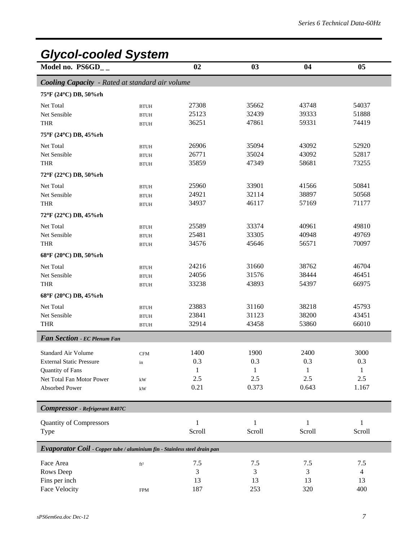| <b>Glycol-cooled System</b>                                               |                 |        |        |        |                |  |  |
|---------------------------------------------------------------------------|-----------------|--------|--------|--------|----------------|--|--|
| Model no. PS6GD__                                                         |                 | 02     | 03     | 04     | 0 <sub>5</sub> |  |  |
| <b>Cooling Capacity</b> - Rated at standard air volume                    |                 |        |        |        |                |  |  |
| 75°F (24°C) DB, 50%rh                                                     |                 |        |        |        |                |  |  |
| Net Total                                                                 | <b>BTUH</b>     | 27308  | 35662  | 43748  | 54037          |  |  |
| Net Sensible                                                              | <b>BTUH</b>     | 25123  | 32439  | 39333  | 51888          |  |  |
| <b>THR</b>                                                                | <b>BTUH</b>     | 36251  | 47861  | 59331  | 74419          |  |  |
| 75°F (24°C) DB, 45%rh                                                     |                 |        |        |        |                |  |  |
| Net Total                                                                 | <b>BTUH</b>     | 26906  | 35094  | 43092  | 52920          |  |  |
| Net Sensible                                                              | <b>BTUH</b>     | 26771  | 35024  | 43092  | 52817          |  |  |
| <b>THR</b>                                                                | <b>BTUH</b>     | 35859  | 47349  | 58681  | 73255          |  |  |
| 72°F (22°C) DB, 50%rh                                                     |                 |        |        |        |                |  |  |
| Net Total                                                                 | <b>BTUH</b>     | 25960  | 33901  | 41566  | 50841          |  |  |
| Net Sensible                                                              | <b>BTUH</b>     | 24921  | 32114  | 38897  | 50568          |  |  |
| <b>THR</b>                                                                | <b>BTUH</b>     | 34937  | 46117  | 57169  | 71177          |  |  |
| 72°F (22°C) DB, 45%rh                                                     |                 |        |        |        |                |  |  |
| Net Total                                                                 | <b>BTUH</b>     | 25589  | 33374  | 40961  | 49810          |  |  |
| Net Sensible                                                              | <b>BTUH</b>     | 25481  | 33305  | 40948  | 49769          |  |  |
| THR                                                                       | <b>BTUH</b>     | 34576  | 45646  | 56571  | 70097          |  |  |
| 68°F (20°C) DB, 50%rh                                                     |                 |        |        |        |                |  |  |
| Net Total                                                                 | <b>BTUH</b>     | 24216  | 31660  | 38762  | 46704          |  |  |
| Net Sensible                                                              | <b>BTUH</b>     | 24056  | 31576  | 38444  | 46451          |  |  |
| <b>THR</b>                                                                | <b>BTUH</b>     | 33238  | 43893  | 54397  | 66975          |  |  |
| 68°F (20°C) DB, 45%rh                                                     |                 |        |        |        |                |  |  |
| Net Total                                                                 | <b>BTUH</b>     | 23883  | 31160  | 38218  | 45793          |  |  |
| Net Sensible                                                              | <b>BTUH</b>     | 23841  | 31123  | 38200  | 43451          |  |  |
| <b>THR</b>                                                                | <b>BTUH</b>     | 32914  | 43458  | 53860  | 66010          |  |  |
| Fan Section - EC Plenum Fan                                               |                 |        |        |        |                |  |  |
| Standard Air Volume                                                       | <b>CFM</b>      | 1400   | 1900   | 2400   | 3000           |  |  |
| <b>External Static Pressure</b>                                           | in              | 0.3    | 0.3    | 0.3    | 0.3            |  |  |
| Quantity of Fans                                                          |                 | 1      | 1      | 1      | 1              |  |  |
| Net Total Fan Motor Power                                                 | kW              | 2.5    | 2.5    | 2.5    | 2.5            |  |  |
| Absorbed Power                                                            | kW              | 0.21   | 0.373  | 0.643  | 1.167          |  |  |
| <b>Compressor</b> - Refrigerant R407C                                     |                 |        |        |        |                |  |  |
| <b>Quantity of Compressors</b>                                            |                 | 1      | 1      | 1      | 1              |  |  |
| Type                                                                      |                 | Scroll | Scroll | Scroll | Scroll         |  |  |
| Evaporator Coil - Copper tube / aluminium fin - Stainless steel drain pan |                 |        |        |        |                |  |  |
| Face Area                                                                 | ft <sup>2</sup> | 7.5    | 7.5    | 7.5    | 7.5            |  |  |
| Rows Deep                                                                 |                 | 3      | 3      | 3      | 4              |  |  |
| Fins per inch                                                             |                 | 13     | 13     | 13     | 13             |  |  |
| Face Velocity                                                             | <b>FPM</b>      | 187    | 253    | 320    | 400            |  |  |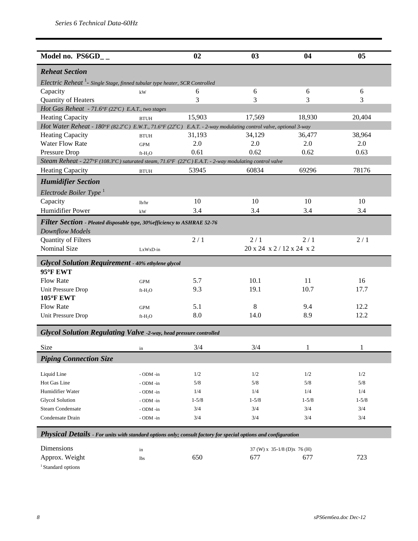| Model no. $PS6GD_{-}$                                                                                           |                  | 02        | 03                               | 04        | 05        |
|-----------------------------------------------------------------------------------------------------------------|------------------|-----------|----------------------------------|-----------|-----------|
| <b>Reheat Section</b>                                                                                           |                  |           |                                  |           |           |
| Electric Reheat <sup>1</sup> - Single Stage, finned tubular type heater, SCR Controlled                         |                  |           |                                  |           |           |
| Capacity                                                                                                        | kW               | 6         | 6                                | 6         | 6         |
| Quantity of Heaters                                                                                             |                  | 3         | 3                                | 3         | 3         |
| Hot Gas Reheat - 71.6°F (22°C) E.A.T., two stages                                                               |                  |           |                                  |           |           |
| <b>Heating Capacity</b>                                                                                         | <b>BTUH</b>      | 15,903    | 17,569                           | 18,930    | 20,404    |
| Hot Water Reheat - 180°F (82.2°C) E.W.T., 71.6°F (22°C) E.A.T. - 2-way modulating control valve, optional 3-way |                  |           |                                  |           |           |
| <b>Heating Capacity</b>                                                                                         | <b>BTUH</b>      | 31,193    | 34,129                           | 36,477    | 38,964    |
| <b>Water Flow Rate</b>                                                                                          | <b>GPM</b>       | 2.0       | 2.0                              | 2.0       | 2.0       |
| Pressure Drop                                                                                                   | $ft-H2O$         | 0.61      | 0.62                             | 0.62      | 0.63      |
| Steam Reheat - 227°F (108.3°C) saturated steam, 71.6°F (22°C) E.A.T. - 2-way modulating control valve           |                  |           |                                  |           |           |
| <b>Heating Capacity</b>                                                                                         | <b>BTUH</b>      | 53945     | 60834                            | 69296     | 78176     |
| <b>Humidifier Section</b>                                                                                       |                  |           |                                  |           |           |
| Electrode Boiler Type $^1$                                                                                      |                  |           |                                  |           |           |
| Capacity                                                                                                        | lb/hr            | 10        | 10                               | 10        | 10        |
| <b>Humidifier Power</b>                                                                                         | kW               | 3.4       | 3.4                              | 3.4       | 3.4       |
| Filter Section - Pleated disposable type, 30% efficiency to ASHRAE 52-76                                        |                  |           |                                  |           |           |
| <b>Downflow Models</b>                                                                                          |                  |           |                                  |           |           |
| Quantity of Filters                                                                                             |                  | 2/1       | 2/1                              | 2/1       | 2/1       |
| Nominal Size                                                                                                    | LxWxD-in         |           | 20 x 24 x 2/12 x 24 x 2          |           |           |
| <b>Glycol Solution Requirement - 40% ethylene glycol</b>                                                        |                  |           |                                  |           |           |
| 95°F EWT                                                                                                        |                  |           |                                  |           |           |
| <b>Flow Rate</b>                                                                                                | <b>GPM</b>       | 5.7       | 10.1                             | 11        | 16        |
| Unit Pressure Drop                                                                                              | $ft-H2O$         | 9.3       | 19.1                             | 10.7      | 17.7      |
| <b>105°F EWT</b>                                                                                                |                  |           |                                  |           |           |
| <b>Flow Rate</b>                                                                                                | <b>GPM</b>       | 5.1       | 8                                | 9.4       | 12.2      |
| Unit Pressure Drop                                                                                              | $ft-H_2O$        | 8.0       | 14.0                             | 8.9       | 12.2      |
|                                                                                                                 |                  |           |                                  |           |           |
| <b>Glycol Solution Regulating Valve -2-way, head pressure controlled</b>                                        |                  |           |                                  |           |           |
| Size                                                                                                            | in               | 3/4       | 3/4                              | 1         | 1         |
| <b>Piping Connection Size</b>                                                                                   |                  |           |                                  |           |           |
|                                                                                                                 |                  |           |                                  |           |           |
| Liquid Line                                                                                                     | - ODM -in        | 1/2       | 1/2                              | 1/2       | 1/2       |
| Hot Gas Line                                                                                                    | - ODM -in        | 5/8       | 5/8                              | 5/8       | 5/8       |
| Humidifier Water                                                                                                | - ODM -in        | 1/4       | 1/4                              | 1/4       | 1/4       |
| <b>Glycol Solution</b>                                                                                          | - ODM -in        | $1 - 5/8$ | $1 - 5/8$                        | $1 - 5/8$ | $1 - 5/8$ |
| <b>Steam Condensate</b>                                                                                         | - ODM -in        | 3/4       | 3/4                              | 3/4       | 3/4       |
| Condensate Drain                                                                                                | - ODM -in        | 3/4       | 3/4                              | 3/4       | 3/4       |
| Physical Details - For units with standard options only; consult factory for special options and configuration  |                  |           |                                  |           |           |
| Dimensions                                                                                                      |                  |           | 37 (W) x $35-1/8$ (D) x $76$ (H) |           |           |
| Approx. Weight                                                                                                  | in<br><b>lbs</b> | 650       | 677                              | 677       | 723       |

 $^{\rm 1}$  Standard options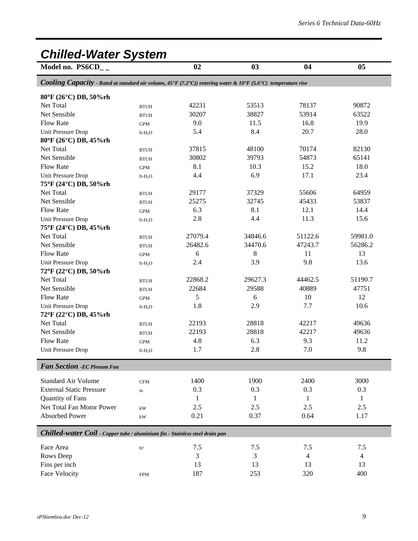### *Chilled-Water System*

Model no. PS6CD<sub>\_\_</sub> 02 03 04 05

*Cooling Capacity - Rated at standard air volume, 45°F (7.2°C)) entering water & 10°F (5.6°C) temperature rise*

| 80°F (26°C) DB, 50%rh                                                        |                 |              |         |         |                |
|------------------------------------------------------------------------------|-----------------|--------------|---------|---------|----------------|
| Net Total                                                                    | <b>BTUH</b>     | 42231        | 53513   | 78137   | 90872          |
| Net Sensible                                                                 | <b>BTUH</b>     | 30207        | 38827   | 53914   | 63522          |
| <b>Flow Rate</b>                                                             | <b>GPM</b>      | 9.0          | 11.5    | 16.8    | 19.9           |
| Unit Pressure Drop                                                           | $ft-H_2O$       | 5.4          | 8.4     | 20.7    | 28.0           |
| 80°F (26°C) DB, 45%rh                                                        |                 |              |         |         |                |
| Net Total                                                                    | <b>BTUH</b>     | 37815        | 48100   | 70174   | 82130          |
| Net Sensible                                                                 | <b>BTUH</b>     | 30802        | 39793   | 54873   | 65141          |
| Flow Rate                                                                    | $\mbox{GPM}$    | 8.1          | 10.3    | 15.2    | 18.0           |
| Unit Pressure Drop                                                           | $ft-H_2O$       | 4.4          | 6.9     | 17.1    | 23.4           |
| 75°F (24°C) DB, 50%rh                                                        |                 |              |         |         |                |
| Net Total                                                                    | <b>BTUH</b>     | 29177        | 37329   | 55606   | 64959          |
| Net Sensible                                                                 | <b>BTUH</b>     | 25275        | 32745   | 45433   | 53837          |
| <b>Flow Rate</b>                                                             | <b>GPM</b>      | 6.3          | 8.1     | 12.1    | 14.4           |
| Unit Pressure Drop                                                           | $ft-H_2O$       | 2.8          | 4.4     | 11.3    | 15.6           |
| 75°F (24°C) DB, 45%rh                                                        |                 |              |         |         |                |
| Net Total                                                                    | <b>BTUH</b>     | 27079.4      | 34846.6 | 51122.6 | 59981.0        |
| Net Sensible                                                                 | <b>BTUH</b>     | 26482.6      | 34470.6 | 47243.7 | 56286.2        |
| <b>Flow Rate</b>                                                             | <b>GPM</b>      | 6            | 8       | 11      | 13             |
| Unit Pressure Drop                                                           | $ft-H_2O$       | 2.4          | 3.9     | 9.8     | 13.6           |
| 72°F (22°C) DB, 50%rh                                                        |                 |              |         |         |                |
| Net Total                                                                    | <b>BTUH</b>     | 22868.2      | 29627.3 | 44462.5 | 51190.7        |
| Net Sensible                                                                 | <b>BTUH</b>     | 22684        | 29588   | 40889   | 47751          |
| Flow Rate                                                                    | <b>GPM</b>      | 5            | 6       | 10      | 12             |
| Unit Pressure Drop                                                           | $ft-H_2O$       | 1.8          | 2.9     | 7.7     | 10.6           |
| 72°F (22°C) DB, 45%rh                                                        |                 |              |         |         |                |
| Net Total                                                                    | <b>BTUH</b>     | 22193        | 28818   | 42217   | 49636          |
| Net Sensible                                                                 | <b>BTUH</b>     | 22193        | 28818   | 42217   | 49636          |
| <b>Flow Rate</b>                                                             | $\mbox{GPM}$    | 4.8          | 6.3     | 9.3     | 11.2           |
| Unit Pressure Drop                                                           | $ft-H_2O$       | 1.7          | 2.8     | 7.0     | 9.8            |
|                                                                              |                 |              |         |         |                |
| <b>Fan Section - EC Plenum Fan</b>                                           |                 |              |         |         |                |
| <b>Standard Air Volume</b>                                                   | $\mathbf{CFM}$  | 1400         | 1900    | 2400    | 3000           |
| <b>External Static Pressure</b>                                              | in              | 0.3          | 0.3     | 0.3     | 0.3            |
| Quantity of Fans                                                             |                 | $\mathbf{1}$ | 1       | 1       | 1              |
| Net Total Fan Motor Power                                                    | kW              | 2.5          | 2.5     | 2.5     | 2.5            |
| Absorbed Power                                                               | kW              | 0.21         | 0.37    | 0.64    | 1.17           |
|                                                                              |                 |              |         |         |                |
| Chilled-water Coil - Copper tube / aluminium fin - Stainless steel drain pan |                 |              |         |         |                |
| Face Area                                                                    | ft <sup>2</sup> | 7.5          | 7.5     | 7.5     | 7.5            |
| Rows Deep                                                                    |                 | 3            | 3       | 4       | $\overline{4}$ |
| Fins per inch                                                                |                 | 13           | 13      | 13      | 13             |
| <b>Face Velocity</b>                                                         | <b>FPM</b>      | 187          | 253     | 320     | 400            |
|                                                                              |                 |              |         |         |                |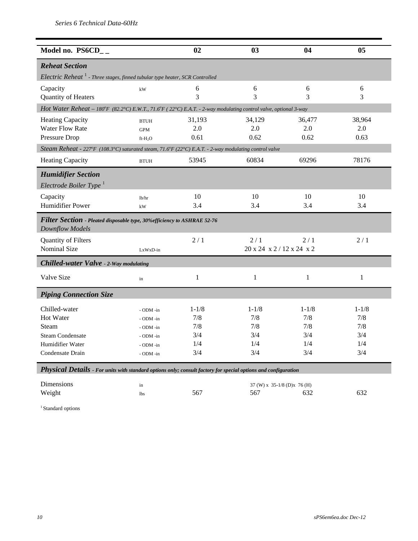| Model no. PS6CD__                                                                                               |                     | 02           | 03                                              | 04           | 0 <sub>5</sub> |
|-----------------------------------------------------------------------------------------------------------------|---------------------|--------------|-------------------------------------------------|--------------|----------------|
| <b>Reheat Section</b>                                                                                           |                     |              |                                                 |              |                |
| Electric Reheat <sup>1</sup> - Three stages, finned tubular type heater, SCR Controlled                         |                     |              |                                                 |              |                |
| Capacity                                                                                                        | kW                  | 6            | 6                                               | 6            | 6              |
| Quantity of Heaters                                                                                             |                     | 3            | 3                                               | 3            | 3              |
| Hot Water Reheat - 180°F (82.2°C) E.W.T., 71.6°F (22°C) E.A.T. - 2-way modulating control valve, optional 3-way |                     |              |                                                 |              |                |
| <b>Heating Capacity</b>                                                                                         | <b>BTUH</b>         | 31,193       | 34,129                                          | 36,477       | 38,964         |
| <b>Water Flow Rate</b>                                                                                          | <b>GPM</b>          | 2.0          | 2.0                                             | 2.0          | 2.0            |
| Pressure Drop                                                                                                   | ft-H <sub>2</sub> O | 0.61         | 0.62                                            | 0.62         | 0.63           |
| Steam Reheat - 227°F (108.3°C) saturated steam, 71.6°F (22°C) E.A.T. - 2-way modulating control valve           |                     |              |                                                 |              |                |
| <b>Heating Capacity</b>                                                                                         | <b>BTUH</b>         | 53945        | 60834                                           | 69296        | 78176          |
| <b>Humidifier Section</b>                                                                                       |                     |              |                                                 |              |                |
| Electrode Boiler Type $^1$                                                                                      |                     |              |                                                 |              |                |
| Capacity                                                                                                        | lb/hr               | 10           | 10                                              | 10           | 10             |
| Humidifier Power                                                                                                | kW                  | 3.4          | 3.4                                             | 3.4          | 3.4            |
| <b>Filter Section</b> - Pleated disposable type, 30% efficiency to ASHRAE 52-76                                 |                     |              |                                                 |              |                |
| <b>Downflow Models</b>                                                                                          |                     |              |                                                 |              |                |
| Quantity of Filters                                                                                             |                     | 2/1          | 2/1                                             | 2/1          | 2/1            |
| <b>Nominal Size</b>                                                                                             | $LxWxD-in$          |              | $20 \times 24 \times 2 / 12 \times 24 \times 2$ |              |                |
| <b>Chilled-water Valve - 2-Way modulating</b>                                                                   |                     |              |                                                 |              |                |
| Valve Size                                                                                                      | in                  | $\mathbf{1}$ | $\mathbf{1}$                                    | $\mathbf{1}$ | $\mathbf{1}$   |
| <b>Piping Connection Size</b>                                                                                   |                     |              |                                                 |              |                |
| Chilled-water                                                                                                   | - ODM -in           | $1 - 1/8$    | $1 - 1/8$                                       | $1 - 1/8$    | $1 - 1/8$      |
| Hot Water                                                                                                       | - ODM -in           | 7/8          | 7/8                                             | 7/8          | 7/8            |
| Steam                                                                                                           | - ODM -in           | 7/8          | 7/8                                             | 7/8          | 7/8            |
| <b>Steam Condensate</b>                                                                                         | - ODM -in           | 3/4          | 3/4                                             | 3/4          | 3/4            |
| Humidifier Water                                                                                                | - ODM -in           | 1/4          | 1/4                                             | 1/4          | 1/4            |
| Condensate Drain                                                                                                | - ODM -in           | 3/4          | 3/4                                             | 3/4          | 3/4            |
| Physical Details - For units with standard options only; consult factory for special options and configuration  |                     |              |                                                 |              |                |

Dimensions in 37 (W) x 35-1/8 (D)x 76 (H)<br>Weight 1bs 567 567 632 Weight  $\frac{1}{567}$  1bs 567 567 632 632

 $^{\rm 1}$  Standard options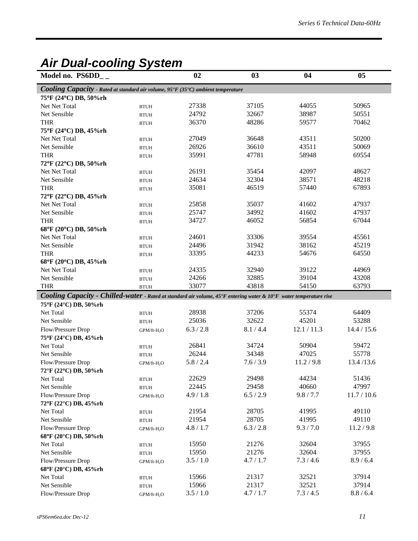### *Air Dual-cooling System*

| Model no. $PS6DD_{-}$                                                                                              |                         | 02        | 03        | 04          | 05          |
|--------------------------------------------------------------------------------------------------------------------|-------------------------|-----------|-----------|-------------|-------------|
| Cooling Capacity - Rated at standard air volume, 95°F (35°C) ambient temperature                                   |                         |           |           |             |             |
| 75°F (24°C) DB, 50%rh                                                                                              |                         |           |           |             |             |
| Net Net Total                                                                                                      | <b>BTUH</b>             | 27338     | 37105     | 44055       | 50965       |
| Net Sensible                                                                                                       | <b>BTUH</b>             | 24792     | 32667     | 38987       | 50551       |
| <b>THR</b>                                                                                                         | <b>BTUH</b>             | 36370     | 48286     | 59577       | 70462       |
| 75°F (24°C) DB, 45%rh                                                                                              |                         |           |           |             |             |
| Net Net Total                                                                                                      | <b>BTUH</b>             | 27049     | 36648     | 43511       | 50200       |
| Net Sensible                                                                                                       | <b>BTUH</b>             | 26926     | 36610     | 43511       | 50069       |
| <b>THR</b>                                                                                                         | <b>BTUH</b>             | 35991     | 47781     | 58948       | 69554       |
| 72°F (22°C) DB, 50%rh                                                                                              |                         |           |           |             |             |
| Net Net Total                                                                                                      | <b>BTUH</b>             | 26191     | 35454     | 42097       | 48627       |
| Net Sensible                                                                                                       | <b>BTUH</b>             | 24634     | 32304     | 38571       | 48218       |
| <b>THR</b>                                                                                                         | <b>BTUH</b>             | 35081     | 46519     | 57440       | 67893       |
| 72°F (22°C) DB, 45%rh                                                                                              |                         |           |           |             |             |
| Net Net Total                                                                                                      | <b>BTUH</b>             | 25858     | 35037     | 41602       | 47937       |
| Net Sensible                                                                                                       | <b>BTUH</b>             | 25747     | 34992     | 41602       | 47937       |
| <b>THR</b>                                                                                                         | <b>BTUH</b>             | 34727     | 46052     | 56854       | 67044       |
| 68°F (20°C) DB, 50%rh                                                                                              |                         |           |           |             |             |
| <b>Net Net Total</b>                                                                                               | <b>BTUH</b>             | 24601     | 33306     | 39554       | 45561       |
| Net Sensible                                                                                                       | <b>BTUH</b>             | 24496     | 31942     | 38162       | 45219       |
| <b>THR</b>                                                                                                         | <b>BTUH</b>             | 33395     | 44233     | 54676       | 64550       |
| 68°F (20°C) DB, 45%rh                                                                                              |                         |           |           |             |             |
| <b>Net Net Total</b>                                                                                               | <b>BTUH</b>             | 24335     | 32940     | 39122       | 44969       |
| Net Sensible                                                                                                       | <b>BTUH</b>             | 24266     | 32885     | 39104       | 43208       |
| <b>THR</b>                                                                                                         | <b>BTUH</b>             | 33077     | 43818     | 54150       | 63793       |
| Cooling Capacity - Chilled-water - Rated at standard air volume, 45°F entering water & 10°F water temperature rise |                         |           |           |             |             |
| 75°F (24°C) DB, 50%rh                                                                                              |                         |           |           |             |             |
| Net Total                                                                                                          | <b>BTUH</b>             | 28938     | 37206     | 55374       | 64409       |
| Net Sensible                                                                                                       | <b>BTUH</b>             | 25036     | 32622     | 45201       | 53288       |
| Flow/Pressure Drop                                                                                                 | GPM/ft-H <sub>2</sub> O | 6.3 / 2.8 | 8.1 / 4.4 | 12.1 / 11.3 | 14.4 / 15.6 |
| 75°F (24°C) DB, 45%rh                                                                                              |                         |           |           |             |             |
| Net Total                                                                                                          | <b>BTUH</b>             | 26841     | 34724     | 50904       | 59472       |
| Net Sensible                                                                                                       | <b>BTUH</b>             | 26244     | 34348     | 47025       | 55778       |
| Flow/Pressure Drop                                                                                                 | GPM/ft-H <sub>2</sub> O | 5.8 / 2.4 | 7.6 / 3.9 | 11.2 / 9.8  | 13.4/13.6   |
| 72°F (22°C) DB, 50%rh                                                                                              |                         |           |           |             |             |
| Net Total                                                                                                          | <b>BTUH</b>             | 22629     | 29498     | 44234       | 51436       |
| Net Sensible                                                                                                       | <b>BTUH</b>             | 22445     | 29458     | 40660       | 47997       |
| Flow/Pressure Drop                                                                                                 | GPM/ft-H <sub>2</sub> O | 4.9 / 1.8 | 6.5 / 2.9 | 9.8 / 7.7   | 11.7 / 10.6 |
| 72°F (22°C) DB, 45%rh                                                                                              |                         |           |           |             |             |
| Net Total                                                                                                          | <b>BTUH</b>             | 21954     | 28705     | 41995       | 49110       |
| Net Sensible                                                                                                       | <b>BTUH</b>             | 21954     | 28705     | 41995       | 49110       |
| Flow/Pressure Drop                                                                                                 | GPM/ft-H <sub>2</sub> O | 4.8 / 1.7 | 6.3 / 2.8 | 9.3 / 7.0   | 11.2 / 9.8  |
| 68°F (20°C) DB, 50%rh                                                                                              |                         |           |           |             |             |
| Net Total                                                                                                          | <b>BTUH</b>             | 15950     | 21276     | 32604       | 37955       |
| Net Sensible                                                                                                       | <b>BTUH</b>             | 15950     | 21276     | 32604       | 37955       |
| Flow/Pressure Drop                                                                                                 | GPM/ft-H <sub>2</sub> O | 3.5 / 1.0 | 4.7 / 1.7 | 7.3/4.6     | 8.9 / 6.4   |
| 68°F (20°C) DB, 45%rh                                                                                              |                         |           |           |             |             |
| Net Total                                                                                                          | <b>BTUH</b>             | 15966     | 21317     | 32521       | 37914       |
| Net Sensible                                                                                                       | <b>BTUH</b>             | 15966     | 21317     | 32521       | 37914       |
| Flow/Pressure Drop                                                                                                 | GPM/ft-H <sub>2</sub> O | 3.5 / 1.0 | 4.7 / 1.7 | 7.3 / 4.5   | 8.8 / 6.4   |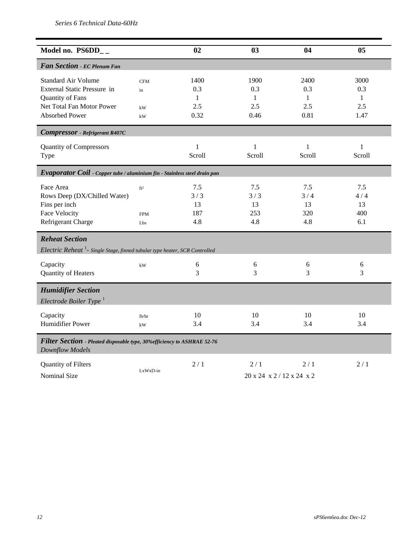| Model no. $PS6DD_{-}$                                                                              |                        | 02           | 03                        | 04           | 05           |
|----------------------------------------------------------------------------------------------------|------------------------|--------------|---------------------------|--------------|--------------|
| Fan Section - EC Plenum Fan                                                                        |                        |              |                           |              |              |
| Standard Air Volume                                                                                | <b>CFM</b>             | 1400         | 1900                      | 2400         | 3000         |
| External Static Pressure in                                                                        | in                     | 0.3          | 0.3                       | 0.3          | 0.3          |
| Quantity of Fans                                                                                   |                        | $\mathbf{1}$ | 1                         | $\mathbf{1}$ | 1            |
| Net Total Fan Motor Power                                                                          | kW                     | 2.5          | 2.5                       | 2.5          | 2.5          |
| <b>Absorbed Power</b>                                                                              | kW                     | 0.32         | 0.46                      | 0.81         | 1.47         |
| <b>Compressor</b> - Refrigerant R407C                                                              |                        |              |                           |              |              |
| <b>Quantity of Compressors</b>                                                                     |                        | $\mathbf{1}$ | $\mathbf{1}$              | $\mathbf{1}$ | $\mathbf{1}$ |
| Type                                                                                               |                        | Scroll       | Scroll                    | Scroll       | Scroll       |
| Evaporator Coil - Copper tube / aluminium fin - Stainless steel drain pan                          |                        |              |                           |              |              |
| Face Area                                                                                          | ft <sup>2</sup>        | 7.5          | 7.5                       | 7.5          | 7.5          |
| Rows Deep (DX/Chilled Water)                                                                       |                        | 3/3          | 3/3                       | 3/4          | 4/4          |
| Fins per inch                                                                                      |                        | 13           | 13                        | 13           | 13           |
| <b>Face Velocity</b>                                                                               | <b>FPM</b>             | 187          | 253                       | 320          | 400          |
| Refrigerant Charge                                                                                 | Lbs                    | 4.8          | 4.8                       | 4.8          | 6.1          |
| <b>Reheat Section</b>                                                                              |                        |              |                           |              |              |
| Electric Reheat <sup>1</sup> - Single Stage, finned tubular type heater, SCR Controlled            |                        |              |                           |              |              |
| Capacity                                                                                           | $\mathbf{k}\mathbf{W}$ | 6            | 6                         | 6            | 6            |
| Quantity of Heaters                                                                                |                        | 3            | 3                         | 3            | 3            |
| <b>Humidifier Section</b>                                                                          |                        |              |                           |              |              |
| Electrode Boiler Type $^1$                                                                         |                        |              |                           |              |              |
| Capacity                                                                                           | lb/hr                  | 10           | 10                        | 10           | 10           |
| Humidifier Power                                                                                   | $\mathbf{k}\mathbf{W}$ | 3.4          | 3.4                       | 3.4          | 3.4          |
|                                                                                                    |                        |              |                           |              |              |
| Filter Section - Pleated disposable type, 30% efficiency to ASHRAE 52-76<br><b>Downflow Models</b> |                        |              |                           |              |              |
| Quantity of Filters                                                                                |                        | 2/1          | 2/1                       | 2/1          | 2/1          |
| <b>Nominal Size</b>                                                                                | LxWxD-in               |              | 20 x 24 x 2 / 12 x 24 x 2 |              |              |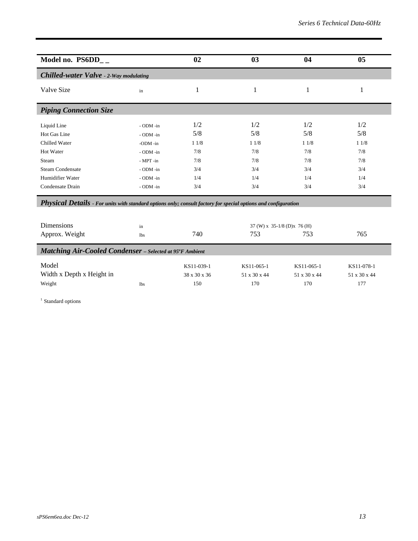| Model no. $PS6DD_{-}$                                                                                          |            | 02           | 03           | 04                           | 0 <sub>5</sub> |
|----------------------------------------------------------------------------------------------------------------|------------|--------------|--------------|------------------------------|----------------|
| <b>Chilled-water Valve - 2-Way modulating</b>                                                                  |            |              |              |                              |                |
| Valve Size                                                                                                     | in         | 1            | 1            | 1                            | 1              |
| <b>Piping Connection Size</b>                                                                                  |            |              |              |                              |                |
| Liquid Line                                                                                                    | - ODM -in  | 1/2          | 1/2          | 1/2                          | 1/2            |
| Hot Gas Line                                                                                                   | - ODM -in  | 5/8          | 5/8          | 5/8                          | 5/8            |
| Chilled Water                                                                                                  | -ODM -in   | 11/8         | 11/8         | 11/8                         | 11/8           |
| Hot Water                                                                                                      | - ODM -in  | 7/8          | 7/8          | 7/8                          | 7/8            |
| Steam                                                                                                          | - MPT -in  | 7/8          | 7/8          | 7/8                          | 7/8            |
| <b>Steam Condensate</b>                                                                                        | - ODM -in  | 3/4          | 3/4          | 3/4                          | 3/4            |
| Humidifier Water                                                                                               | - ODM -in  | 1/4          | 1/4          | 1/4                          | 1/4            |
| Condensate Drain                                                                                               | - ODM -in  | 3/4          | 3/4          | 3/4                          | 3/4            |
| Physical Details - For units with standard options only; consult factory for special options and configuration |            |              |              |                              |                |
| Dimensions                                                                                                     | in         |              |              | 37 (W) x 35-1/8 (D) x 76 (H) |                |
| Approx. Weight                                                                                                 | <b>lbs</b> | 740          | 753          | 753                          | 765            |
| <b>Matching Air-Cooled Condenser</b> - Selected at 95°F Ambient                                                |            |              |              |                              |                |
| Model                                                                                                          |            | KS11-039-1   | KS11-065-1   | KS11-065-1                   | KS11-078-1     |
| Width x Depth x Height in                                                                                      |            | 38 x 30 x 36 | 51 x 30 x 44 | 51 x 30 x 44                 | 51 x 30 x 44   |

Weight 150 170 177 170 177

<sup>1</sup> Standard options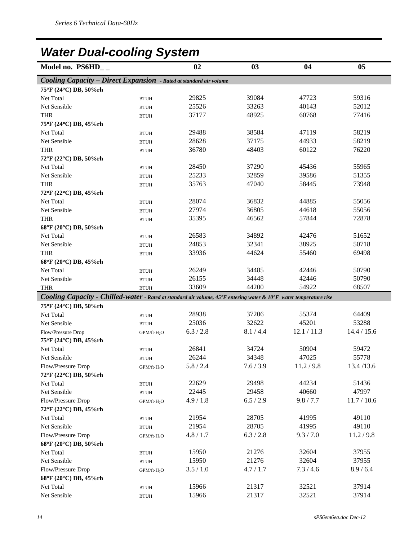## *Water Dual-cooling System*

| 02<br>Model no. $PS6HD_{-}$<br>03<br>04                                                                            | 0 <sub>5</sub> |
|--------------------------------------------------------------------------------------------------------------------|----------------|
| <b>Cooling Capacity - Direct Expansion</b> - Rated at standard air volume                                          |                |
| 75°F (24°C) DB, 50%rh                                                                                              |                |
| 29825<br>39084<br>47723<br>Net Total<br><b>BTUH</b>                                                                | 59316          |
| 25526<br>33263<br>40143<br>Net Sensible<br><b>BTUH</b>                                                             | 52012          |
| 37177<br>48925<br>60768<br><b>THR</b><br><b>BTUH</b>                                                               | 77416          |
| 75°F (24°C) DB, 45%rh                                                                                              |                |
| 29488<br>38584<br>47119<br>Net Total<br><b>BTUH</b>                                                                | 58219          |
| 28628<br>37175<br>44933<br>Net Sensible<br><b>BTUH</b>                                                             | 58219          |
| 36780<br><b>THR</b><br>48403<br>60122<br><b>BTUH</b>                                                               | 76220          |
| 72°F (22°C) DB, 50%rh                                                                                              |                |
| 37290<br>Net Total<br>28450<br>45436<br><b>BTUH</b>                                                                | 55965          |
| 25233<br>32859<br>39586<br>Net Sensible<br><b>BTUH</b>                                                             | 51355          |
| 35763<br>47040<br>58445<br><b>THR</b><br><b>BTUH</b>                                                               | 73948          |
| 72°F (22°C) DB, 45%rh                                                                                              |                |
| 28074<br>36832<br>44885<br>Net Total<br><b>BTUH</b>                                                                | 55056          |
| 36805<br>27974<br>44618<br>Net Sensible<br><b>BTUH</b>                                                             | 55056          |
| 35395<br>46562<br>57844<br><b>THR</b><br><b>BTUH</b>                                                               | 72878          |
| 68°F (20°C) DB, 50%rh                                                                                              |                |
| 34892<br>Net Total<br>26583<br>42476<br><b>BTUH</b>                                                                | 51652          |
| 32341<br>24853<br>38925<br>Net Sensible<br><b>BTUH</b>                                                             | 50718          |
| 33936<br>44624<br><b>THR</b><br>55460<br><b>BTUH</b>                                                               | 69498          |
| 68°F (20°C) DB, 45%rh                                                                                              |                |
| 26249<br>34485<br>42446<br>Net Total<br><b>BTUH</b>                                                                | 50790          |
| 26155<br>34448<br>42446<br>Net Sensible<br><b>BTUH</b>                                                             | 50790          |
| 33609<br>44200<br>54922<br>68507<br><b>THR</b><br><b>BTUH</b>                                                      |                |
| Cooling Capacity - Chilled-water - Rated at standard air volume, 45°F entering water & 10°F water temperature rise |                |
| 75°F (24°C) DB, 50%rh                                                                                              |                |
| 37206<br>55374<br>Net Total<br>28938<br><b>BTUH</b>                                                                | 64409          |
| 45201<br>25036<br>32622<br>Net Sensible<br><b>BTUH</b>                                                             | 53288          |
| 8.1 / 4.4<br>12.1 / 11.3<br>6.3 / 2.8<br>Flow/Pressure Drop<br>GPM/ft-H <sub>2</sub> O                             | 14.4 / 15.6    |
| 75°F (24°C) DB, 45%rh                                                                                              |                |
| Net Total<br>26841<br>34724<br>50904<br><b>BTUH</b>                                                                | 59472          |
| 47025<br>26244<br>34348<br>Net Sensible<br><b>BTUH</b>                                                             | 55778          |
| 5.8 / 2.4<br>7.6 / 3.9<br>11.2 / 9.8<br>Flow/Pressure Drop<br>$GPM/ft-H_2O$                                        | 13.4/13.6      |
| 72°F (22°C) DB, 50%rh                                                                                              |                |
| 22629<br>29498<br>44234<br>Net Total<br><b>BTUH</b>                                                                | 51436          |
| 22445<br>29458<br>40660<br>Net Sensible<br><b>BTUH</b>                                                             | 47997          |
| 4.9 / 1.8<br>6.5 / 2.9<br>9.8 / 7.7<br>Flow/Pressure Drop<br>$GPM/ft-H_2O$                                         | 11.7 / 10.6    |
| 72°F (22°C) DB, 45%rh                                                                                              |                |
| 28705<br>21954<br>41995<br>Net Total<br><b>BTUH</b>                                                                | 49110          |
| 21954<br>28705<br>41995<br>Net Sensible<br><b>BTUH</b>                                                             | 49110          |
| 4.8 / 1.7<br>6.3 / 2.8<br>Flow/Pressure Drop<br>9.3 / 7.0<br>GPM/ft-H <sub>2</sub> O                               | 11.2 / 9.8     |
| 68°F (20°C) DB, 50%rh                                                                                              |                |
| 15950<br>21276<br>32604<br>Net Total<br><b>BTUH</b>                                                                | 37955          |
| 15950<br>21276<br>32604<br>Net Sensible<br><b>BTUH</b>                                                             | 37955          |
| Flow/Pressure Drop<br>3.5 / 1.0<br>4.7 / 1.7<br>7.3 / 4.6<br>$GPM/ft-H_2O$                                         | 8.9 / 6.4      |
| 68°F (20°C) DB, 45%rh                                                                                              |                |
|                                                                                                                    |                |
| 15966<br>21317<br>32521<br>37914<br>Net Total<br><b>BTUH</b>                                                       |                |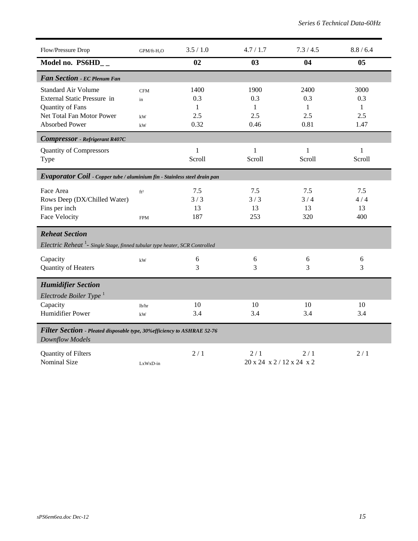| Flow/Pressure Drop                                                                                              | GPM/ft-H <sub>2</sub> O       | 3.5 / 1.0               | 4.7 / 1.7                      | 7.3/4.5                 | 8.8 / 6.4               |
|-----------------------------------------------------------------------------------------------------------------|-------------------------------|-------------------------|--------------------------------|-------------------------|-------------------------|
| Model no. PS6HD__                                                                                               |                               | 02                      | 03                             | 04                      | 05                      |
| Fan Section - EC Plenum Fan                                                                                     |                               |                         |                                |                         |                         |
| <b>Standard Air Volume</b><br>External Static Pressure in                                                       | <b>CFM</b><br>in              | 1400<br>0.3             | 1900<br>0.3                    | 2400<br>0.3             | 3000<br>0.3             |
| Quantity of Fans<br>Net Total Fan Motor Power                                                                   | kW                            | $\mathbf{1}$<br>2.5     | 1<br>2.5                       | 1<br>2.5                | 1<br>2.5                |
| <b>Absorbed Power</b>                                                                                           | kW                            | 0.32                    | 0.46                           | 0.81                    | 1.47                    |
| <b>Compressor</b> - Refrigerant R407C                                                                           |                               |                         |                                |                         |                         |
| <b>Quantity of Compressors</b><br>Type                                                                          |                               | $\mathbf{1}$<br>Scroll  | $\mathbf{1}$<br>Scroll         | $\mathbf{1}$<br>Scroll  | $\mathbf{1}$<br>Scroll  |
| Evaporator Coil - Copper tube / aluminium fin - Stainless steel drain pan                                       |                               |                         |                                |                         |                         |
| Face Area<br>Rows Deep (DX/Chilled Water)<br>Fins per inch<br>Face Velocity                                     | ft <sup>2</sup><br><b>FPM</b> | 7.5<br>3/3<br>13<br>187 | 7.5<br>3/3<br>13<br>253        | 7.5<br>3/4<br>13<br>320 | 7.5<br>4/4<br>13<br>400 |
| <b>Reheat Section</b><br><i>Electric Reheat</i> $^1$ - Single Stage, finned tubular type heater, SCR Controlled |                               |                         |                                |                         |                         |
| Capacity<br>Quantity of Heaters                                                                                 | kW                            | 6<br>3                  | 6<br>3                         | 6<br>$\overline{3}$     | 6<br>3                  |
| <b>Humidifier Section</b><br>Electrode Boiler Type <sup>1</sup>                                                 |                               |                         |                                |                         |                         |
| Capacity<br><b>Humidifier Power</b>                                                                             | lb/hr<br>kW                   | 10<br>3.4               | 10<br>3.4                      | 10<br>3.4               | 10<br>3.4               |
| Filter Section - Pleated disposable type, 30% efficiency to ASHRAE 52-76<br><b>Downflow Models</b>              |                               |                         |                                |                         |                         |
| Quantity of Filters<br><b>Nominal Size</b>                                                                      | LxWxD-in                      | 2/1                     | 2/1<br>20 x 24 x 2/12 x 24 x 2 | 2/1                     | 2/1                     |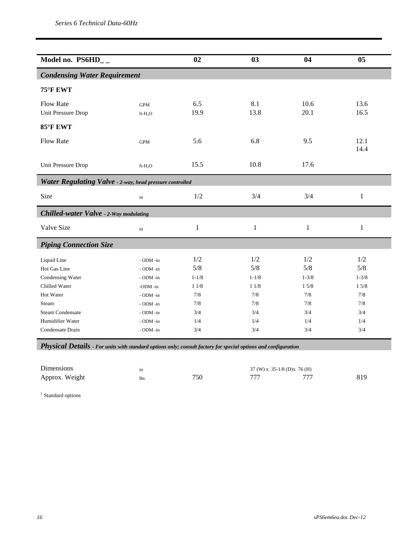| Model no. $PS6HD_{-}$                                    |                     | 02           | 03           | 04                | 05           |
|----------------------------------------------------------|---------------------|--------------|--------------|-------------------|--------------|
| <b>Condensing Water Requirement</b>                      |                     |              |              |                   |              |
| 75°F EWT                                                 |                     |              |              |                   |              |
| <b>Flow Rate</b>                                         | <b>GPM</b>          | 6.5          | 8.1          | 10.6              | 13.6         |
| Unit Pressure Drop                                       | ft-H <sub>2</sub> O | 19.9         | 13.8         | 20.1              | 16.5         |
| 85°F EWT                                                 |                     |              |              |                   |              |
| <b>Flow Rate</b>                                         | <b>GPM</b>          | 5.6          | 6.8          | 9.5               | 12.1         |
|                                                          |                     |              |              |                   | 14.4         |
| Unit Pressure Drop                                       | $ft-H2O$            | 15.5         | 10.8         | 17.6              |              |
| Water Regulating Valve - 2-way, head pressure controlled |                     |              |              |                   |              |
| Size                                                     | in                  | 1/2          | 3/4          | 3/4               | $\mathbf{1}$ |
| <b>Chilled-water Valve - 2-Way modulating</b>            |                     |              |              |                   |              |
| Valve Size                                               | in                  | $\mathbf{1}$ | $\mathbf{1}$ | $\mathbf{1}$      | $\mathbf{1}$ |
| <b>Piping Connection Size</b>                            |                     |              |              |                   |              |
| Liquid Line                                              | - ODM -in           | 1/2          | 1/2          | 1/2               | 1/2          |
| Hot Gas Line                                             | - ODM -in           | 5/8          | 5/8          | 5/8               | 5/8          |
| Condensing Water                                         | - ODM -in           | $1 - 1/8$    | $1 - 1/8$    | $1 - \frac{3}{8}$ | $1 - 3/8$    |
| Chilled Water                                            | -ODM -in            | 11/8         | 11/8         | 15/8              | 15/8         |
| Hot Water                                                | - ODM -in           | 7/8          | 7/8          | 7/8               | 7/8          |
| Steam                                                    | - ODM -in           | 7/8          | 7/8          | 7/8               | 7/8          |
| <b>Steam Condensate</b>                                  | - ODM -in           | 3/4          | 3/4          | 3/4               | 3/4          |
| Humidifier Water                                         | - ODM -in           | 1/4          | 1/4          | 1/4               | 1/4          |
| Condensate Drain                                         | - ODM -in           | 3/4          | 3/4          | 3/4               | 3/4          |

*Physical Details - For units with standard options only; consult factory for special options and configuration* 

| Dimensions     | ın         |     | $37 \text{ (W)} \times 35\text{-}1/8 \text{ (D)} \times 76 \text{ (H)}$ |     |     |
|----------------|------------|-----|-------------------------------------------------------------------------|-----|-----|
| Approx. Weight | <b>lbs</b> | 750 | 777                                                                     | 777 | 819 |

<sup>1</sup> Standard options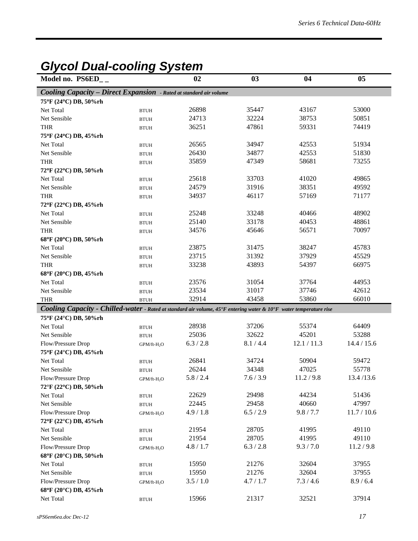### *Glycol Dual-cooling System*

| Model no. PS6ED__                  |                                                                           | 02             | 03                                                                                                                 | 04             | 05             |
|------------------------------------|---------------------------------------------------------------------------|----------------|--------------------------------------------------------------------------------------------------------------------|----------------|----------------|
|                                    | <b>Cooling Capacity - Direct Expansion</b> - Rated at standard air volume |                |                                                                                                                    |                |                |
| 75°F (24°C) DB, 50%rh              |                                                                           |                |                                                                                                                    |                |                |
| Net Total                          | <b>BTUH</b>                                                               | 26898          | 35447                                                                                                              | 43167          | 53000          |
| Net Sensible                       | <b>BTUH</b>                                                               | 24713          | 32224                                                                                                              | 38753          | 50851          |
| <b>THR</b>                         | <b>BTUH</b>                                                               | 36251          | 47861                                                                                                              | 59331          | 74419          |
| 75°F (24°C) DB, 45%rh              |                                                                           |                |                                                                                                                    |                |                |
| Net Total                          | <b>BTUH</b>                                                               | 26565          | 34947                                                                                                              | 42553          | 51934          |
| Net Sensible                       | <b>BTUH</b>                                                               | 26430          | 34877                                                                                                              | 42553          | 51830          |
| <b>THR</b>                         | <b>BTUH</b>                                                               | 35859          | 47349                                                                                                              | 58681          | 73255          |
| 72°F (22°C) DB, 50%rh              |                                                                           |                |                                                                                                                    |                |                |
| Net Total                          | <b>BTUH</b>                                                               | 25618          | 33703                                                                                                              | 41020          | 49865          |
| Net Sensible                       | <b>BTUH</b>                                                               | 24579          | 31916                                                                                                              | 38351          | 49592          |
| <b>THR</b>                         | <b>BTUH</b>                                                               | 34937          | 46117                                                                                                              | 57169          | 71177          |
| 72°F (22°C) DB, 45%rh              |                                                                           |                |                                                                                                                    |                |                |
| Net Total                          | <b>BTUH</b>                                                               | 25248          | 33248                                                                                                              | 40466          | 48902          |
| Net Sensible                       | <b>BTUH</b>                                                               | 25140          | 33178                                                                                                              | 40453          | 48861          |
| <b>THR</b>                         | <b>BTUH</b>                                                               | 34576          | 45646                                                                                                              | 56571          | 70097          |
| 68°F (20°C) DB, 50%rh              |                                                                           |                |                                                                                                                    |                |                |
| Net Total                          | <b>BTUH</b>                                                               | 23875          | 31475                                                                                                              | 38247          | 45783          |
| Net Sensible                       | <b>BTUH</b>                                                               | 23715          | 31392                                                                                                              | 37929          | 45529          |
| <b>THR</b>                         | <b>BTUH</b>                                                               | 33238          | 43893                                                                                                              | 54397          | 66975          |
| 68°F (20°C) DB, 45%rh              |                                                                           |                |                                                                                                                    |                |                |
| Net Total                          | <b>BTUH</b>                                                               | 23576          | 31054                                                                                                              | 37764          | 44953          |
| Net Sensible                       | <b>BTUH</b>                                                               | 23534          | 31017                                                                                                              | 37746          | 42612          |
| <b>THR</b>                         | <b>BTUH</b>                                                               | 32914          | 43458                                                                                                              | 53860          | 66010          |
|                                    |                                                                           |                | Cooling Capacity - Chilled-water - Rated at standard air volume, 45°F entering water & 10°F water temperature rise |                |                |
| 75°F (24°C) DB, 50%rh              |                                                                           |                |                                                                                                                    |                |                |
| Net Total                          | <b>BTUH</b>                                                               | 28938          | 37206                                                                                                              | 55374          | 64409          |
| Net Sensible                       | <b>BTUH</b>                                                               | 25036          | 32622                                                                                                              | 45201          | 53288          |
| Flow/Pressure Drop                 | GPM/ft-H <sub>2</sub> O                                                   | 6.3 / 2.8      | 8.1 / 4.4                                                                                                          | 12.1 / 11.3    | 14.4 / 15.6    |
| 75°F (24°C) DB, 45%rh              |                                                                           |                |                                                                                                                    |                |                |
| Net Total                          | <b>BTUH</b>                                                               | 26841          | 34724                                                                                                              | 50904<br>47025 | 59472          |
| Net Sensible                       | <b>BTUH</b>                                                               | 26244          | 34348                                                                                                              |                | 55778          |
| Flow/Pressure Drop                 | $\mbox{GPM}/\mbox{ft-H}_2\mbox{O}$                                        | 5.8 / 2.4      | 7.6 / 3.9                                                                                                          | 11.2 / 9.8     | 13.4/13.6      |
| 72°F (22°C) DB, 50%rh              |                                                                           |                |                                                                                                                    | 44234          |                |
| Net Total                          | <b>BTUH</b>                                                               | 22629<br>22445 | 29498<br>29458                                                                                                     | 40660          | 51436<br>47997 |
| Net Sensible                       | <b>BTUH</b>                                                               | 4.9 / 1.8      | 6.5 / 2.9                                                                                                          | 9.8 / 7.7      | 11.7 / 10.6    |
| Flow/Pressure Drop                 | GPM/ft-H <sub>2</sub> O                                                   |                |                                                                                                                    |                |                |
| 72°F (22°C) DB, 45%rh              |                                                                           | 21954          | 28705                                                                                                              | 41995          | 49110          |
| Net Total                          | <b>BTUH</b>                                                               | 21954          | 28705                                                                                                              | 41995          | 49110          |
| Net Sensible                       | <b>BTUH</b>                                                               | 4.8 / 1.7      | 6.3 / 2.8                                                                                                          | 9.3 / 7.0      | 11.2 / 9.8     |
| Flow/Pressure Drop                 | $GPM/ft-H2O$                                                              |                |                                                                                                                    |                |                |
| 68°F (20°C) DB, 50%rh<br>Net Total |                                                                           | 15950          | 21276                                                                                                              | 32604          | 37955          |
| Net Sensible                       | <b>BTUH</b>                                                               | 15950          | 21276                                                                                                              | 32604          | 37955          |
|                                    | <b>BTUH</b>                                                               | 3.5 / 1.0      | 4.7 / 1.7                                                                                                          | 7.3 / 4.6      | 8.9 / 6.4      |
| Flow/Pressure Drop                 | GPM/ft-H <sub>2</sub> O                                                   |                |                                                                                                                    |                |                |
| 68°F (20°C) DB, 45%rh              |                                                                           | 15966          | 21317                                                                                                              | 32521          | 37914          |
| Net Total                          | $\operatorname{BTUH}$                                                     |                |                                                                                                                    |                |                |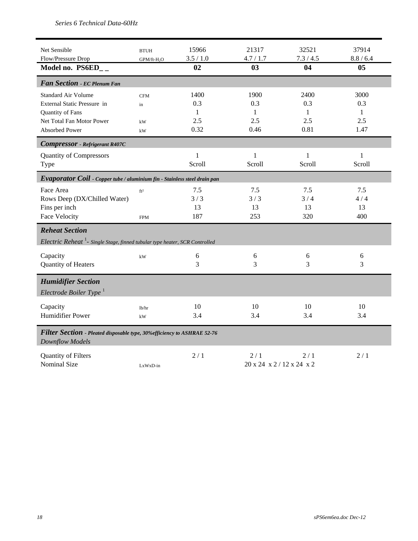| Net Sensible<br>Flow/Pressure Drop                                                                                                  | <b>BTUH</b>                  | 15966<br>3.5 / 1.0              | 21317<br>4.7 / 1.7              | 32521<br>7.3 / 4.5              | 37914<br>8.8 / 6.4                         |
|-------------------------------------------------------------------------------------------------------------------------------------|------------------------------|---------------------------------|---------------------------------|---------------------------------|--------------------------------------------|
| Model no. PS6ED__                                                                                                                   | GPM/ft-H <sub>2</sub> O      | 02                              | 03                              | 04                              | 0 <sub>5</sub>                             |
| Fan Section - EC Plenum Fan                                                                                                         |                              |                                 |                                 |                                 |                                            |
| <b>Standard Air Volume</b><br>External Static Pressure in<br>Quantity of Fans<br>Net Total Fan Motor Power<br><b>Absorbed Power</b> | <b>CFM</b><br>in<br>kW<br>kW | 1400<br>0.3<br>1<br>2.5<br>0.32 | 1900<br>0.3<br>1<br>2.5<br>0.46 | 2400<br>0.3<br>1<br>2.5<br>0.81 | 3000<br>0.3<br>$\mathbf{1}$<br>2.5<br>1.47 |
| <b>Compressor</b> - Refrigerant R407C                                                                                               |                              |                                 |                                 |                                 |                                            |
| <b>Quantity of Compressors</b><br>Type                                                                                              |                              | $\mathbf{1}$<br>Scroll          | 1<br>Scroll                     | 1<br>Scroll                     | 1<br>Scroll                                |
| Evaporator Coil - Copper tube / aluminium fin - Stainless steel drain pan                                                           |                              |                                 |                                 |                                 |                                            |
| Face Area<br>Rows Deep (DX/Chilled Water)<br>Fins per inch<br><b>Face Velocity</b>                                                  | $\rm ft^2$<br><b>FPM</b>     | 7.5<br>3/3<br>13<br>187         | 7.5<br>3/3<br>13<br>253         | 7.5<br>3/4<br>13<br>320         | 7.5<br>4/4<br>13<br>400                    |
| <b>Reheat Section</b><br><i>Electric Reheat</i> <sup>1</sup> - Single Stage, finned tubular type heater, SCR Controlled             |                              |                                 |                                 |                                 |                                            |
| Capacity<br>Quantity of Heaters                                                                                                     | $\mathbf{k}\mathbf{W}$       | 6<br>3                          | 6<br>3                          | 6<br>3                          | 6<br>3                                     |
| <b>Humidifier Section</b><br>Electrode Boiler Type $^1$                                                                             |                              |                                 |                                 |                                 |                                            |
| Capacity<br><b>Humidifier Power</b>                                                                                                 | lb/hr<br>kW                  | 10<br>3.4                       | 10<br>3.4                       | 10<br>3.4                       | 10<br>3.4                                  |
| Filter Section - Pleated disposable type, 30% efficiency to ASHRAE 52-76<br><b>Downflow Models</b>                                  |                              |                                 |                                 |                                 |                                            |
| Quantity of Filters<br><b>Nominal Size</b>                                                                                          | LxWxD-in                     | 2/1                             | 2/1<br>20 x 24 x 2/12 x 24 x 2  | 2/1                             | 2/1                                        |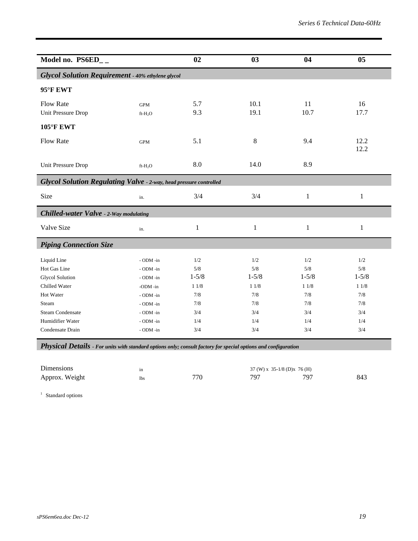| Model no. PS6ED__                                                                                                                                               |                                                                                                                       | 02                                                                 | 03                                                                       | 04                                                                 | 05                                                                 |
|-----------------------------------------------------------------------------------------------------------------------------------------------------------------|-----------------------------------------------------------------------------------------------------------------------|--------------------------------------------------------------------|--------------------------------------------------------------------------|--------------------------------------------------------------------|--------------------------------------------------------------------|
| <b>Glycol Solution Requirement - 40% ethylene glycol</b>                                                                                                        |                                                                                                                       |                                                                    |                                                                          |                                                                    |                                                                    |
| 95°F EWT                                                                                                                                                        |                                                                                                                       |                                                                    |                                                                          |                                                                    |                                                                    |
| <b>Flow Rate</b><br>Unit Pressure Drop                                                                                                                          | <b>GPM</b><br>$ft-H2O$                                                                                                | 5.7<br>9.3                                                         | 10.1<br>19.1                                                             | 11<br>10.7                                                         | 16<br>17.7                                                         |
| <b>105°F EWT</b>                                                                                                                                                |                                                                                                                       |                                                                    |                                                                          |                                                                    |                                                                    |
| <b>Flow Rate</b>                                                                                                                                                | <b>GPM</b>                                                                                                            | 5.1                                                                | $8\,$                                                                    | 9.4                                                                | 12.2<br>12.2                                                       |
| Unit Pressure Drop                                                                                                                                              | $ft-H2O$                                                                                                              | 8.0                                                                | 14.0                                                                     | 8.9                                                                |                                                                    |
| <b>Glycol Solution Regulating Valve - 2-way, head pressure controlled</b>                                                                                       |                                                                                                                       |                                                                    |                                                                          |                                                                    |                                                                    |
| Size                                                                                                                                                            | in.                                                                                                                   | 3/4                                                                | 3/4                                                                      | 1                                                                  | $\mathbf{1}$                                                       |
| Chilled-water Valve - 2-Way modulating                                                                                                                          |                                                                                                                       |                                                                    |                                                                          |                                                                    |                                                                    |
| Valve Size                                                                                                                                                      | in.                                                                                                                   | 1                                                                  | 1                                                                        | 1                                                                  | $\mathbf{1}$                                                       |
| <b>Piping Connection Size</b>                                                                                                                                   |                                                                                                                       |                                                                    |                                                                          |                                                                    |                                                                    |
| Liquid Line<br>Hot Gas Line<br><b>Glycol Solution</b><br>Chilled Water<br>Hot Water<br>Steam<br><b>Steam Condensate</b><br>Humidifier Water<br>Condensate Drain | - ODM -in<br>- ODM -in<br>- ODM -in<br>-ODM -in<br>- ODM -in<br>- ODM -in<br>$-$ ODM $-$ in<br>- ODM -in<br>- ODM -in | 1/2<br>5/8<br>$1 - 5/8$<br>11/8<br>7/8<br>7/8<br>3/4<br>1/4<br>3/4 | 1/2<br>$5/8$<br>$1 - 5/8$<br>$11/8$<br>$7/8$<br>7/8<br>3/4<br>1/4<br>3/4 | 1/2<br>5/8<br>$1 - 5/8$<br>11/8<br>7/8<br>7/8<br>3/4<br>1/4<br>3/4 | 1/2<br>5/8<br>$1 - 5/8$<br>11/8<br>7/8<br>7/8<br>3/4<br>1/4<br>3/4 |
|                                                                                                                                                                 |                                                                                                                       |                                                                    |                                                                          |                                                                    |                                                                    |

*Physical Details - For units with standard options only; consult factory for special options and configuration* 

| Dimensions     | ın         |     | $37$ (W) x $35-1/8$ (D)x $76$ (H) |     |     |
|----------------|------------|-----|-----------------------------------|-----|-----|
| Approx. Weight | <b>lbs</b> | 770 | 797                               | 707 | 843 |

<sup>1</sup> Standard options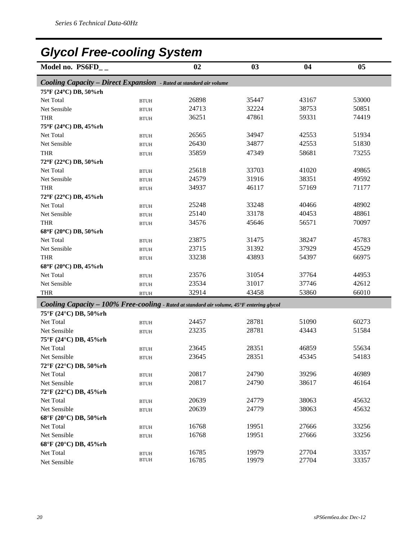## *Glycol Free-cooling System*

| <b>Cooling Capacity - Direct Expansion</b> - Rated at standard air volume<br>75°F (24°C) DB, 50%rh<br>26898<br>35447<br>43167<br>53000<br>Net Total<br><b>BTUH</b><br>24713<br>32224<br>38753<br>50851<br>Net Sensible<br><b>BTUH</b><br>36251<br>47861<br>74419<br>59331<br><b>THR</b><br><b>BTUH</b><br>75°F (24°C) DB, 45%rh<br>34947<br>42553<br>51934<br>26565<br>Net Total<br><b>BTUH</b><br>26430<br>34877<br>42553<br>51830<br>Net Sensible<br><b>BTUH</b><br>35859<br>47349<br>58681<br>73255<br><b>THR</b><br><b>BTUH</b><br>72°F (22°C) DB, 50%rh<br>33703<br>41020<br>49865<br>25618<br>Net Total<br><b>BTUH</b><br>24579<br>31916<br>38351<br>49592<br>Net Sensible<br><b>BTUH</b><br>34937<br>46117<br>57169<br>71177<br><b>THR</b><br><b>BTUH</b><br>72°F (22°C) DB, 45%rh<br>25248<br>33248<br>48902<br>Net Total<br>40466<br><b>BTUH</b><br>25140<br>33178<br>40453<br>48861<br>Net Sensible<br><b>BTUH</b><br>34576<br>45646<br>70097<br>56571<br><b>THR</b><br><b>BTUH</b><br>68°F (20°C) DB, 50%rh<br>23875<br>31475<br>38247<br>45783<br>Net Total<br><b>BTUH</b><br>23715<br>31392<br>37929<br>45529<br>Net Sensible<br><b>BTUH</b><br>33238<br>43893<br>66975<br>54397<br><b>THR</b><br><b>BTUH</b><br>68°F (20°C) DB, 45%rh<br>23576<br>31054<br>37764<br>44953<br>Net Total<br><b>BTUH</b><br>23534<br>31017<br>42612<br>37746<br>Net Sensible<br><b>BTUH</b><br>32914<br>43458<br>53860<br>66010<br><b>THR</b><br><b>BTUH</b><br>Cooling Capacity - 100% Free-cooling - Rated at standard air volume, 45°F entering glycol<br>75°F (24°C) DB, 50%rh<br>24457<br>28781<br>51090<br>60273<br>Net Total<br><b>BTUH</b><br>28781<br>23235<br>51584<br>43443<br>Net Sensible<br><b>BTUH</b><br>75°F (24°C) DB, 45%rh<br>28351<br>46859<br>55634<br>Net Total<br>23645<br><b>BTUH</b><br>23645<br>28351<br>45345<br>54183<br>Net Sensible<br><b>BTUH</b><br>72°F (22°C) DB, 50%rh<br>20817<br>24790<br>39296<br>46989<br>Net Total<br>$\operatorname{BTUH}$<br>20817<br>24790<br>38617<br>46164<br>Net Sensible<br><b>BTUH</b><br>72°F (22°C) DB, 45%rh<br>20639<br>38063<br>24779<br>45632<br>Net Total<br><b>BTUH</b><br>20639<br>24779<br>38063<br>45632<br>Net Sensible<br><b>BTUH</b><br>68°F (20°C) DB, 50%rh | Model no. PS6FD__ | 02 | 03 | 04 | 05 |
|-----------------------------------------------------------------------------------------------------------------------------------------------------------------------------------------------------------------------------------------------------------------------------------------------------------------------------------------------------------------------------------------------------------------------------------------------------------------------------------------------------------------------------------------------------------------------------------------------------------------------------------------------------------------------------------------------------------------------------------------------------------------------------------------------------------------------------------------------------------------------------------------------------------------------------------------------------------------------------------------------------------------------------------------------------------------------------------------------------------------------------------------------------------------------------------------------------------------------------------------------------------------------------------------------------------------------------------------------------------------------------------------------------------------------------------------------------------------------------------------------------------------------------------------------------------------------------------------------------------------------------------------------------------------------------------------------------------------------------------------------------------------------------------------------------------------------------------------------------------------------------------------------------------------------------------------------------------------------------------------------------------------------------------------------------------------------------------------------------------------------------------------------------------------------------------------------------------------------------------------|-------------------|----|----|----|----|
|                                                                                                                                                                                                                                                                                                                                                                                                                                                                                                                                                                                                                                                                                                                                                                                                                                                                                                                                                                                                                                                                                                                                                                                                                                                                                                                                                                                                                                                                                                                                                                                                                                                                                                                                                                                                                                                                                                                                                                                                                                                                                                                                                                                                                                         |                   |    |    |    |    |
|                                                                                                                                                                                                                                                                                                                                                                                                                                                                                                                                                                                                                                                                                                                                                                                                                                                                                                                                                                                                                                                                                                                                                                                                                                                                                                                                                                                                                                                                                                                                                                                                                                                                                                                                                                                                                                                                                                                                                                                                                                                                                                                                                                                                                                         |                   |    |    |    |    |
|                                                                                                                                                                                                                                                                                                                                                                                                                                                                                                                                                                                                                                                                                                                                                                                                                                                                                                                                                                                                                                                                                                                                                                                                                                                                                                                                                                                                                                                                                                                                                                                                                                                                                                                                                                                                                                                                                                                                                                                                                                                                                                                                                                                                                                         |                   |    |    |    |    |
|                                                                                                                                                                                                                                                                                                                                                                                                                                                                                                                                                                                                                                                                                                                                                                                                                                                                                                                                                                                                                                                                                                                                                                                                                                                                                                                                                                                                                                                                                                                                                                                                                                                                                                                                                                                                                                                                                                                                                                                                                                                                                                                                                                                                                                         |                   |    |    |    |    |
|                                                                                                                                                                                                                                                                                                                                                                                                                                                                                                                                                                                                                                                                                                                                                                                                                                                                                                                                                                                                                                                                                                                                                                                                                                                                                                                                                                                                                                                                                                                                                                                                                                                                                                                                                                                                                                                                                                                                                                                                                                                                                                                                                                                                                                         |                   |    |    |    |    |
|                                                                                                                                                                                                                                                                                                                                                                                                                                                                                                                                                                                                                                                                                                                                                                                                                                                                                                                                                                                                                                                                                                                                                                                                                                                                                                                                                                                                                                                                                                                                                                                                                                                                                                                                                                                                                                                                                                                                                                                                                                                                                                                                                                                                                                         |                   |    |    |    |    |
|                                                                                                                                                                                                                                                                                                                                                                                                                                                                                                                                                                                                                                                                                                                                                                                                                                                                                                                                                                                                                                                                                                                                                                                                                                                                                                                                                                                                                                                                                                                                                                                                                                                                                                                                                                                                                                                                                                                                                                                                                                                                                                                                                                                                                                         |                   |    |    |    |    |
|                                                                                                                                                                                                                                                                                                                                                                                                                                                                                                                                                                                                                                                                                                                                                                                                                                                                                                                                                                                                                                                                                                                                                                                                                                                                                                                                                                                                                                                                                                                                                                                                                                                                                                                                                                                                                                                                                                                                                                                                                                                                                                                                                                                                                                         |                   |    |    |    |    |
|                                                                                                                                                                                                                                                                                                                                                                                                                                                                                                                                                                                                                                                                                                                                                                                                                                                                                                                                                                                                                                                                                                                                                                                                                                                                                                                                                                                                                                                                                                                                                                                                                                                                                                                                                                                                                                                                                                                                                                                                                                                                                                                                                                                                                                         |                   |    |    |    |    |
|                                                                                                                                                                                                                                                                                                                                                                                                                                                                                                                                                                                                                                                                                                                                                                                                                                                                                                                                                                                                                                                                                                                                                                                                                                                                                                                                                                                                                                                                                                                                                                                                                                                                                                                                                                                                                                                                                                                                                                                                                                                                                                                                                                                                                                         |                   |    |    |    |    |
|                                                                                                                                                                                                                                                                                                                                                                                                                                                                                                                                                                                                                                                                                                                                                                                                                                                                                                                                                                                                                                                                                                                                                                                                                                                                                                                                                                                                                                                                                                                                                                                                                                                                                                                                                                                                                                                                                                                                                                                                                                                                                                                                                                                                                                         |                   |    |    |    |    |
|                                                                                                                                                                                                                                                                                                                                                                                                                                                                                                                                                                                                                                                                                                                                                                                                                                                                                                                                                                                                                                                                                                                                                                                                                                                                                                                                                                                                                                                                                                                                                                                                                                                                                                                                                                                                                                                                                                                                                                                                                                                                                                                                                                                                                                         |                   |    |    |    |    |
|                                                                                                                                                                                                                                                                                                                                                                                                                                                                                                                                                                                                                                                                                                                                                                                                                                                                                                                                                                                                                                                                                                                                                                                                                                                                                                                                                                                                                                                                                                                                                                                                                                                                                                                                                                                                                                                                                                                                                                                                                                                                                                                                                                                                                                         |                   |    |    |    |    |
|                                                                                                                                                                                                                                                                                                                                                                                                                                                                                                                                                                                                                                                                                                                                                                                                                                                                                                                                                                                                                                                                                                                                                                                                                                                                                                                                                                                                                                                                                                                                                                                                                                                                                                                                                                                                                                                                                                                                                                                                                                                                                                                                                                                                                                         |                   |    |    |    |    |
|                                                                                                                                                                                                                                                                                                                                                                                                                                                                                                                                                                                                                                                                                                                                                                                                                                                                                                                                                                                                                                                                                                                                                                                                                                                                                                                                                                                                                                                                                                                                                                                                                                                                                                                                                                                                                                                                                                                                                                                                                                                                                                                                                                                                                                         |                   |    |    |    |    |
|                                                                                                                                                                                                                                                                                                                                                                                                                                                                                                                                                                                                                                                                                                                                                                                                                                                                                                                                                                                                                                                                                                                                                                                                                                                                                                                                                                                                                                                                                                                                                                                                                                                                                                                                                                                                                                                                                                                                                                                                                                                                                                                                                                                                                                         |                   |    |    |    |    |
|                                                                                                                                                                                                                                                                                                                                                                                                                                                                                                                                                                                                                                                                                                                                                                                                                                                                                                                                                                                                                                                                                                                                                                                                                                                                                                                                                                                                                                                                                                                                                                                                                                                                                                                                                                                                                                                                                                                                                                                                                                                                                                                                                                                                                                         |                   |    |    |    |    |
|                                                                                                                                                                                                                                                                                                                                                                                                                                                                                                                                                                                                                                                                                                                                                                                                                                                                                                                                                                                                                                                                                                                                                                                                                                                                                                                                                                                                                                                                                                                                                                                                                                                                                                                                                                                                                                                                                                                                                                                                                                                                                                                                                                                                                                         |                   |    |    |    |    |
|                                                                                                                                                                                                                                                                                                                                                                                                                                                                                                                                                                                                                                                                                                                                                                                                                                                                                                                                                                                                                                                                                                                                                                                                                                                                                                                                                                                                                                                                                                                                                                                                                                                                                                                                                                                                                                                                                                                                                                                                                                                                                                                                                                                                                                         |                   |    |    |    |    |
|                                                                                                                                                                                                                                                                                                                                                                                                                                                                                                                                                                                                                                                                                                                                                                                                                                                                                                                                                                                                                                                                                                                                                                                                                                                                                                                                                                                                                                                                                                                                                                                                                                                                                                                                                                                                                                                                                                                                                                                                                                                                                                                                                                                                                                         |                   |    |    |    |    |
|                                                                                                                                                                                                                                                                                                                                                                                                                                                                                                                                                                                                                                                                                                                                                                                                                                                                                                                                                                                                                                                                                                                                                                                                                                                                                                                                                                                                                                                                                                                                                                                                                                                                                                                                                                                                                                                                                                                                                                                                                                                                                                                                                                                                                                         |                   |    |    |    |    |
|                                                                                                                                                                                                                                                                                                                                                                                                                                                                                                                                                                                                                                                                                                                                                                                                                                                                                                                                                                                                                                                                                                                                                                                                                                                                                                                                                                                                                                                                                                                                                                                                                                                                                                                                                                                                                                                                                                                                                                                                                                                                                                                                                                                                                                         |                   |    |    |    |    |
|                                                                                                                                                                                                                                                                                                                                                                                                                                                                                                                                                                                                                                                                                                                                                                                                                                                                                                                                                                                                                                                                                                                                                                                                                                                                                                                                                                                                                                                                                                                                                                                                                                                                                                                                                                                                                                                                                                                                                                                                                                                                                                                                                                                                                                         |                   |    |    |    |    |
|                                                                                                                                                                                                                                                                                                                                                                                                                                                                                                                                                                                                                                                                                                                                                                                                                                                                                                                                                                                                                                                                                                                                                                                                                                                                                                                                                                                                                                                                                                                                                                                                                                                                                                                                                                                                                                                                                                                                                                                                                                                                                                                                                                                                                                         |                   |    |    |    |    |
|                                                                                                                                                                                                                                                                                                                                                                                                                                                                                                                                                                                                                                                                                                                                                                                                                                                                                                                                                                                                                                                                                                                                                                                                                                                                                                                                                                                                                                                                                                                                                                                                                                                                                                                                                                                                                                                                                                                                                                                                                                                                                                                                                                                                                                         |                   |    |    |    |    |
|                                                                                                                                                                                                                                                                                                                                                                                                                                                                                                                                                                                                                                                                                                                                                                                                                                                                                                                                                                                                                                                                                                                                                                                                                                                                                                                                                                                                                                                                                                                                                                                                                                                                                                                                                                                                                                                                                                                                                                                                                                                                                                                                                                                                                                         |                   |    |    |    |    |
|                                                                                                                                                                                                                                                                                                                                                                                                                                                                                                                                                                                                                                                                                                                                                                                                                                                                                                                                                                                                                                                                                                                                                                                                                                                                                                                                                                                                                                                                                                                                                                                                                                                                                                                                                                                                                                                                                                                                                                                                                                                                                                                                                                                                                                         |                   |    |    |    |    |
|                                                                                                                                                                                                                                                                                                                                                                                                                                                                                                                                                                                                                                                                                                                                                                                                                                                                                                                                                                                                                                                                                                                                                                                                                                                                                                                                                                                                                                                                                                                                                                                                                                                                                                                                                                                                                                                                                                                                                                                                                                                                                                                                                                                                                                         |                   |    |    |    |    |
|                                                                                                                                                                                                                                                                                                                                                                                                                                                                                                                                                                                                                                                                                                                                                                                                                                                                                                                                                                                                                                                                                                                                                                                                                                                                                                                                                                                                                                                                                                                                                                                                                                                                                                                                                                                                                                                                                                                                                                                                                                                                                                                                                                                                                                         |                   |    |    |    |    |
|                                                                                                                                                                                                                                                                                                                                                                                                                                                                                                                                                                                                                                                                                                                                                                                                                                                                                                                                                                                                                                                                                                                                                                                                                                                                                                                                                                                                                                                                                                                                                                                                                                                                                                                                                                                                                                                                                                                                                                                                                                                                                                                                                                                                                                         |                   |    |    |    |    |
|                                                                                                                                                                                                                                                                                                                                                                                                                                                                                                                                                                                                                                                                                                                                                                                                                                                                                                                                                                                                                                                                                                                                                                                                                                                                                                                                                                                                                                                                                                                                                                                                                                                                                                                                                                                                                                                                                                                                                                                                                                                                                                                                                                                                                                         |                   |    |    |    |    |
|                                                                                                                                                                                                                                                                                                                                                                                                                                                                                                                                                                                                                                                                                                                                                                                                                                                                                                                                                                                                                                                                                                                                                                                                                                                                                                                                                                                                                                                                                                                                                                                                                                                                                                                                                                                                                                                                                                                                                                                                                                                                                                                                                                                                                                         |                   |    |    |    |    |
|                                                                                                                                                                                                                                                                                                                                                                                                                                                                                                                                                                                                                                                                                                                                                                                                                                                                                                                                                                                                                                                                                                                                                                                                                                                                                                                                                                                                                                                                                                                                                                                                                                                                                                                                                                                                                                                                                                                                                                                                                                                                                                                                                                                                                                         |                   |    |    |    |    |
|                                                                                                                                                                                                                                                                                                                                                                                                                                                                                                                                                                                                                                                                                                                                                                                                                                                                                                                                                                                                                                                                                                                                                                                                                                                                                                                                                                                                                                                                                                                                                                                                                                                                                                                                                                                                                                                                                                                                                                                                                                                                                                                                                                                                                                         |                   |    |    |    |    |
|                                                                                                                                                                                                                                                                                                                                                                                                                                                                                                                                                                                                                                                                                                                                                                                                                                                                                                                                                                                                                                                                                                                                                                                                                                                                                                                                                                                                                                                                                                                                                                                                                                                                                                                                                                                                                                                                                                                                                                                                                                                                                                                                                                                                                                         |                   |    |    |    |    |
|                                                                                                                                                                                                                                                                                                                                                                                                                                                                                                                                                                                                                                                                                                                                                                                                                                                                                                                                                                                                                                                                                                                                                                                                                                                                                                                                                                                                                                                                                                                                                                                                                                                                                                                                                                                                                                                                                                                                                                                                                                                                                                                                                                                                                                         |                   |    |    |    |    |
|                                                                                                                                                                                                                                                                                                                                                                                                                                                                                                                                                                                                                                                                                                                                                                                                                                                                                                                                                                                                                                                                                                                                                                                                                                                                                                                                                                                                                                                                                                                                                                                                                                                                                                                                                                                                                                                                                                                                                                                                                                                                                                                                                                                                                                         |                   |    |    |    |    |
|                                                                                                                                                                                                                                                                                                                                                                                                                                                                                                                                                                                                                                                                                                                                                                                                                                                                                                                                                                                                                                                                                                                                                                                                                                                                                                                                                                                                                                                                                                                                                                                                                                                                                                                                                                                                                                                                                                                                                                                                                                                                                                                                                                                                                                         |                   |    |    |    |    |
|                                                                                                                                                                                                                                                                                                                                                                                                                                                                                                                                                                                                                                                                                                                                                                                                                                                                                                                                                                                                                                                                                                                                                                                                                                                                                                                                                                                                                                                                                                                                                                                                                                                                                                                                                                                                                                                                                                                                                                                                                                                                                                                                                                                                                                         |                   |    |    |    |    |
| 16768<br>19951<br>33256<br>27666<br>Net Total<br><b>BTUH</b>                                                                                                                                                                                                                                                                                                                                                                                                                                                                                                                                                                                                                                                                                                                                                                                                                                                                                                                                                                                                                                                                                                                                                                                                                                                                                                                                                                                                                                                                                                                                                                                                                                                                                                                                                                                                                                                                                                                                                                                                                                                                                                                                                                            |                   |    |    |    |    |
| 16768<br>19951<br>27666<br>33256<br>Net Sensible<br><b>BTUH</b>                                                                                                                                                                                                                                                                                                                                                                                                                                                                                                                                                                                                                                                                                                                                                                                                                                                                                                                                                                                                                                                                                                                                                                                                                                                                                                                                                                                                                                                                                                                                                                                                                                                                                                                                                                                                                                                                                                                                                                                                                                                                                                                                                                         |                   |    |    |    |    |
| 68°F (20°C) DB, 45%rh                                                                                                                                                                                                                                                                                                                                                                                                                                                                                                                                                                                                                                                                                                                                                                                                                                                                                                                                                                                                                                                                                                                                                                                                                                                                                                                                                                                                                                                                                                                                                                                                                                                                                                                                                                                                                                                                                                                                                                                                                                                                                                                                                                                                                   |                   |    |    |    |    |
| 16785<br>19979<br>27704<br>33357<br>Net Total<br><b>BTUH</b>                                                                                                                                                                                                                                                                                                                                                                                                                                                                                                                                                                                                                                                                                                                                                                                                                                                                                                                                                                                                                                                                                                                                                                                                                                                                                                                                                                                                                                                                                                                                                                                                                                                                                                                                                                                                                                                                                                                                                                                                                                                                                                                                                                            |                   |    |    |    |    |
| <b>BTUH</b><br>16785<br>19979<br>27704<br>33357<br>Net Sensible                                                                                                                                                                                                                                                                                                                                                                                                                                                                                                                                                                                                                                                                                                                                                                                                                                                                                                                                                                                                                                                                                                                                                                                                                                                                                                                                                                                                                                                                                                                                                                                                                                                                                                                                                                                                                                                                                                                                                                                                                                                                                                                                                                         |                   |    |    |    |    |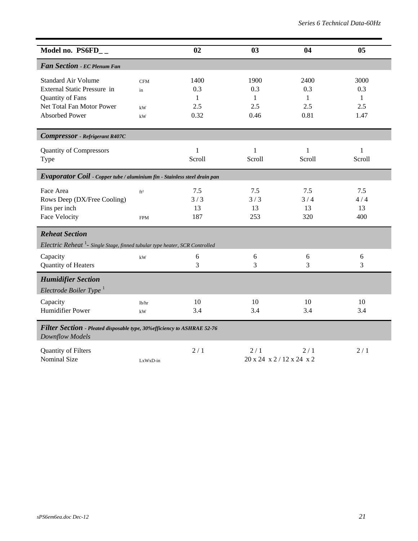| Model no. PS6FD__                                                                                          |                                 | 02                      | 03                             | 04                      | 0 <sub>5</sub>          |
|------------------------------------------------------------------------------------------------------------|---------------------------------|-------------------------|--------------------------------|-------------------------|-------------------------|
| Fan Section - EC Plenum Fan                                                                                |                                 |                         |                                |                         |                         |
| <b>Standard Air Volume</b><br>External Static Pressure in<br>Quantity of Fans<br>Net Total Fan Motor Power | <b>CFM</b><br>in<br>kW          | 1400<br>0.3<br>1<br>2.5 | 1900<br>0.3<br>1<br>2.5        | 2400<br>0.3<br>1<br>2.5 | 3000<br>0.3<br>1<br>2.5 |
| <b>Absorbed Power</b>                                                                                      | $\mathbf{k}\mathbf{W}$          | 0.32                    | 0.46                           | 0.81                    | 1.47                    |
| <b>Compressor</b> - Refrigerant R407C                                                                      |                                 |                         |                                |                         |                         |
| <b>Quantity of Compressors</b><br>Type                                                                     |                                 | 1<br>Scroll             | 1<br>Scroll                    | 1<br>Scroll             | 1<br>Scroll             |
| Evaporator Coil - Copper tube / aluminium fin - Stainless steel drain pan                                  |                                 |                         |                                |                         |                         |
| Face Area<br>Rows Deep (DX/Free Cooling)<br>Fins per inch<br>Face Velocity                                 | ft <sup>2</sup><br><b>FPM</b>   | 7.5<br>3/3<br>13<br>187 | 7.5<br>3/3<br>13<br>253        | 7.5<br>3/4<br>13<br>320 | 7.5<br>4/4<br>13<br>400 |
| <b>Reheat Section</b>                                                                                      |                                 |                         |                                |                         |                         |
| Electric Reheat <sup>1</sup> - Single Stage, finned tubular type heater, SCR Controlled                    |                                 |                         |                                |                         |                         |
| Capacity<br>Quantity of Heaters                                                                            | $\mathbf{k}\mathbf{W}$          | 6<br>3                  | 6<br>3                         | 6<br>3                  | 6<br>3                  |
| <b>Humidifier Section</b><br>Electrode Boiler Type <sup>1</sup>                                            |                                 |                         |                                |                         |                         |
| Capacity<br>Humidifier Power                                                                               | lb/hr<br>$\mathbf{k}\mathbf{W}$ | 10<br>3.4               | 10<br>3.4                      | 10<br>3.4               | 10<br>3.4               |
| Filter Section - Pleated disposable type, 30% efficiency to ASHRAE 52-76<br>Downflow Models                |                                 |                         |                                |                         |                         |
| Quantity of Filters<br><b>Nominal Size</b>                                                                 | LxWxD-in                        | 2/1                     | 2/1<br>20 x 24 x 2/12 x 24 x 2 | 2/1                     | 2/1                     |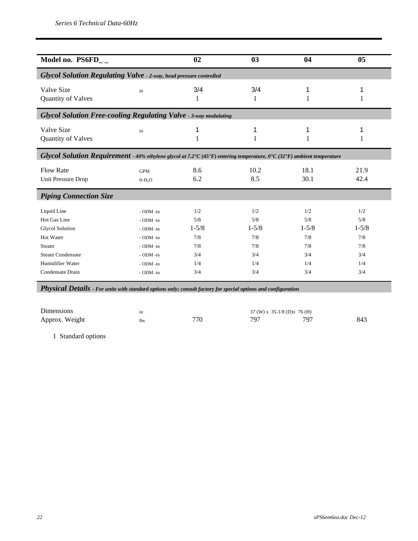| Model no. PS6FD__                                                                                                                                                                                                                                                |                                                                                                      | 02                                                         | 03                                                         | 04                                                         | 05                                                         |
|------------------------------------------------------------------------------------------------------------------------------------------------------------------------------------------------------------------------------------------------------------------|------------------------------------------------------------------------------------------------------|------------------------------------------------------------|------------------------------------------------------------|------------------------------------------------------------|------------------------------------------------------------|
| <b>Glycol Solution Regulating Valve - 2-way, head pressure controlled</b>                                                                                                                                                                                        |                                                                                                      |                                                            |                                                            |                                                            |                                                            |
| Valve Size<br>Quantity of Valves                                                                                                                                                                                                                                 | in                                                                                                   | 3/4<br>1                                                   | 3/4<br>1                                                   | 1<br>1                                                     | 1<br>1                                                     |
| <b>Glycol Solution Free-cooling Regulating Valve - 3-way modulating</b>                                                                                                                                                                                          |                                                                                                      |                                                            |                                                            |                                                            |                                                            |
| Valve Size<br>Quantity of Valves                                                                                                                                                                                                                                 | in                                                                                                   | 1<br>1                                                     | 1                                                          | 1<br>1                                                     | 1<br>1                                                     |
| Glycol Solution Requirement - 40% ethylene glycol at 7.2°C (45°F) entering temperature, 0°C (32°F) ambient temperature                                                                                                                                           |                                                                                                      |                                                            |                                                            |                                                            |                                                            |
| <b>Flow Rate</b><br>Unit Pressure Drop                                                                                                                                                                                                                           | <b>GPM</b><br>$ft-H2O$                                                                               | 8.6<br>6.2                                                 | 10.2<br>8.5                                                | 18.1<br>30.1                                               | 21.9<br>42.4                                               |
| <b>Piping Connection Size</b>                                                                                                                                                                                                                                    |                                                                                                      |                                                            |                                                            |                                                            |                                                            |
| Liquid Line<br>Hot Gas Line<br><b>Glycol Solution</b><br>Hot Water<br>Steam<br><b>Steam Condensate</b><br>Humidifier Water<br>Condensate Drain<br>Physical Details - For units with standard options only; consult factory for special options and configuration | - ODM -in<br>- ODM -in<br>- ODM -in<br>- ODM -in<br>- ODM -in<br>- ODM -in<br>- ODM -in<br>- ODM -in | 1/2<br>5/8<br>$1 - 5/8$<br>7/8<br>7/8<br>3/4<br>1/4<br>3/4 | 1/2<br>5/8<br>$1 - 5/8$<br>7/8<br>7/8<br>3/4<br>1/4<br>3/4 | 1/2<br>5/8<br>$1 - 5/8$<br>7/8<br>7/8<br>3/4<br>1/4<br>3/4 | 1/2<br>5/8<br>$1 - 5/8$<br>7/8<br>7/8<br>3/4<br>1/4<br>3/4 |
| <b>Dimensions</b><br>Approx. Weight                                                                                                                                                                                                                              | in<br><b>lbs</b>                                                                                     | 770                                                        | 37 (W) x 35-1/8 (D) x 76 (H)<br>797                        | 797                                                        | 843                                                        |

1 Standard options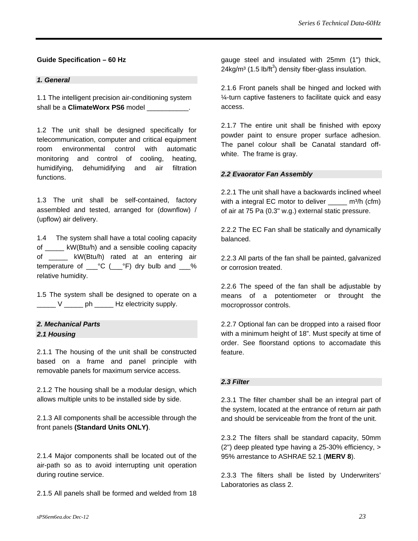#### **Guide Specification – 60 Hz**

#### *1. General*

1.1 The intelligent precision air-conditioning system shall be a **ClimateWorx PS6** model

1.2 The unit shall be designed specifically for telecommunication, computer and critical equipment room environmental control with automatic monitoring and control of cooling, heating, humidifying, dehumidifying and air filtration functions.

1.3 The unit shall be self-contained, factory assembled and tested, arranged for (downflow) / (upflow) air delivery.

1.4 The system shall have a total cooling capacity of \_\_\_\_\_ kW(Btu/h) and a sensible cooling capacity of kW(Btu/h) rated at an entering air temperature of  $C^{\circ}C$  ( $C^{\circ}F$ ) dry bulb and  $C^{\circ}$ relative humidity.

1.5 The system shall be designed to operate on a \_\_\_\_\_ V \_\_\_\_\_ ph \_\_\_\_\_ Hz electricity supply.

### *2. Mechanical Parts 2.1 Housing*

2.1.1 The housing of the unit shall be constructed based on a frame and panel principle with removable panels for maximum service access.

2.1.2 The housing shall be a modular design, which allows multiple units to be installed side by side.

2.1.3 All components shall be accessible through the front panels **(Standard Units ONLY)**.

2.1.4 Major components shall be located out of the air-path so as to avoid interrupting unit operation during routine service.

2.1.5 All panels shall be formed and welded from 18

gauge steel and insulated with 25mm (1") thick,  $24$ kg/m $3$  (1.5 lb/ft $3$ ) density fiber-glass insulation.

2.1.6 Front panels shall be hinged and locked with ¼-turn captive fasteners to facilitate quick and easy access.

2.1.7 The entire unit shall be finished with epoxy powder paint to ensure proper surface adhesion. The panel colour shall be Canatal standard offwhite. The frame is gray.

#### *2.2 Evaorator Fan Assembly*

2.2.1 The unit shall have a backwards inclined wheel with a integral EC motor to deliver  $m^3/h$  (cfm) of air at 75 Pa (0.3" w.g.) external static pressure.

2.2.2 The EC Fan shall be statically and dynamically balanced.

2.2.3 All parts of the fan shall be painted, galvanized or corrosion treated.

2.2.6 The speed of the fan shall be adjustable by means of a potentiometer or throught the mocroprossor controls.

2.2.7 Optional fan can be dropped into a raised floor with a minimum height of 18". Must specify at time of order. See floorstand options to accomadate this feature.

#### *2.3 Filter*

2.3.1 The filter chamber shall be an integral part of the system, located at the entrance of return air path and should be serviceable from the front of the unit.

2.3.2 The filters shall be standard capacity, 50mm (2") deep pleated type having a 25-30% efficiency, > 95% arrestance to ASHRAE 52.1 (**MERV 8**).

2.3.3 The filters shall be listed by Underwriters' Laboratories as class 2.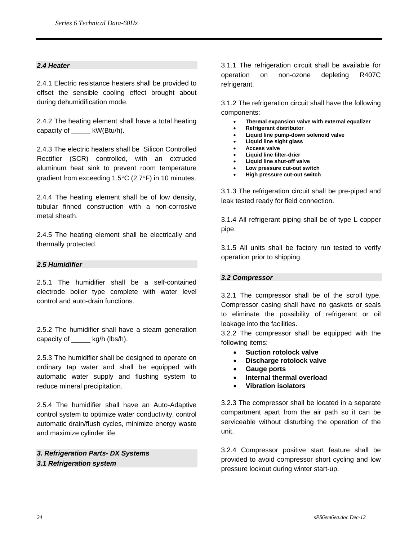#### *2.4 Heater*

2.4.1 Electric resistance heaters shall be provided to offset the sensible cooling effect brought about during dehumidification mode.

2.4.2 The heating element shall have a total heating capacity of  $kW(Btu/h)$ .

2.4.3 The electric heaters shall be Silicon Controlled Rectifier (SCR) controlled, with an extruded aluminum heat sink to prevent room temperature gradient from exceeding 1.5°C (2.7°F) in 10 minutes.

2.4.4 The heating element shall be of low density, tubular finned construction with a non-corrosive metal sheath.

2.4.5 The heating element shall be electrically and thermally protected.

#### *2.5 Humidifier*

2.5.1 The humidifier shall be a self-contained electrode boiler type complete with water level control and auto-drain functions.

2.5.2 The humidifier shall have a steam generation capacity of kg/h (lbs/h).

2.5.3 The humidifier shall be designed to operate on ordinary tap water and shall be equipped with automatic water supply and flushing system to reduce mineral precipitation.

2.5.4 The humidifier shall have an Auto-Adaptive control system to optimize water conductivity, control automatic drain/flush cycles, minimize energy waste and maximize cylinder life.

*3. Refrigeration Parts- DX Systems 3.1 Refrigeration system* 

3.1.1 The refrigeration circuit shall be available for operation on non-ozone depleting R407C refrigerant.

3.1.2 The refrigeration circuit shall have the following components:

- **Thermal expansion valve with external equalizer**
- **Refrigerant distributor**
- **Liquid line pump-down solenoid valve**
- **Liquid line sight glass**
- **Access valve**
- **Liquid line filter-drier**
- **Liquid line shut-off valve**  • **Low pressure cut-out switch**
- **High pressure cut-out switch**

3.1.3 The refrigeration circuit shall be pre-piped and leak tested ready for field connection.

3.1.4 All refrigerant piping shall be of type L copper pipe.

3.1.5 All units shall be factory run tested to verify operation prior to shipping.

#### *3.2 Compressor*

3.2.1 The compressor shall be of the scroll type. Compressor casing shall have no gaskets or seals to eliminate the possibility of refrigerant or oil leakage into the facilities.

3.2.2 The compressor shall be equipped with the following items:

- **Suction rotolock valve**
- **Discharge rotolock valve**
- **Gauge ports**
- **Internal thermal overload**
- **Vibration isolators**

3.2.3 The compressor shall be located in a separate compartment apart from the air path so it can be serviceable without disturbing the operation of the unit.

3.2.4 Compressor positive start feature shall be provided to avoid compressor short cycling and low pressure lockout during winter start-up.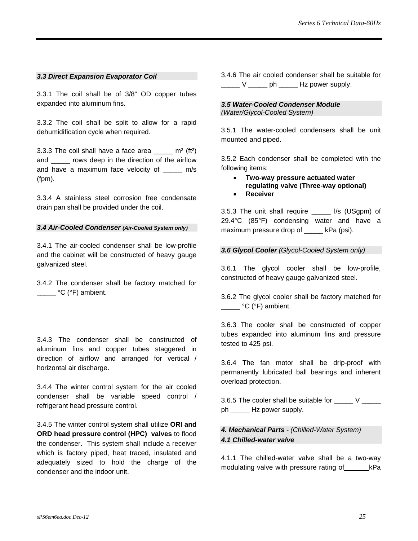#### *3.3 Direct Expansion Evaporator Coil*

3.3.1 The coil shall be of 3/8" OD copper tubes expanded into aluminum fins.

3.3.2 The coil shall be split to allow for a rapid dehumidification cycle when required.

3.3.3 The coil shall have a face area  $\frac{m}{2}$  m<sup>2</sup> (ft<sup>2</sup>) and \_\_\_\_\_ rows deep in the direction of the airflow and have a maximum face velocity of \_\_\_\_\_ m/s (fpm).

3.3.4 A stainless steel corrosion free condensate drain pan shall be provided under the coil.

#### *3.4 Air-Cooled Condenser (Air-Cooled System only)*

3.4.1 The air-cooled condenser shall be low-profile and the cabinet will be constructed of heavy gauge galvanized steel.

3.4.2 The condenser shall be factory matched for **C** (°F) ambient.

3.4.3 The condenser shall be constructed of aluminum fins and copper tubes staggered in direction of airflow and arranged for vertical / horizontal air discharge.

3.4.4 The winter control system for the air cooled condenser shall be variable speed control / refrigerant head pressure control.

3.4.5 The winter control system shall utilize **ORI and ORD head pressure control (HPC) valves** to flood the condenser. This system shall include a receiver which is factory piped, heat traced, insulated and adequately sized to hold the charge of the condenser and the indoor unit.

3.4.6 The air cooled condenser shall be suitable for V bh Hz power supply.

#### *3.5 Water-Cooled Condenser Module (Water/Glycol-Cooled System)*

3.5.1 The water-cooled condensers shall be unit mounted and piped.

3.5.2 Each condenser shall be completed with the following items:

- **Two-way pressure actuated water regulating valve (Three-way optional)**
- **Receiver**

3.5.3 The unit shall require \_\_\_\_\_ l/s (USgpm) of 29.4°C (85°F) condensing water and have a maximum pressure drop of kPa (psi).

#### *3.6 Glycol Cooler (Glycol-Cooled System only)*

3.6.1 The glycol cooler shall be low-profile, constructed of heavy gauge galvanized steel.

3.6.2 The glycol cooler shall be factory matched for °C (°F) ambient.

3.6.3 The cooler shall be constructed of copper tubes expanded into aluminum fins and pressure tested to 425 psi.

3.6.4 The fan motor shall be drip-proof with permanently lubricated ball bearings and inherent overload protection.

3.6.5 The cooler shall be suitable for  $\rule{1em}{0.15mm}$   $\vee$   $\rule{1em}{0.15mm}$ ph \_\_\_\_\_ Hz power supply.

#### *4. Mechanical Parts - (Chilled-Water System) 4.1 Chilled-water valve*

4.1.1 The chilled-water valve shall be a two-way modulating valve with pressure rating of kPa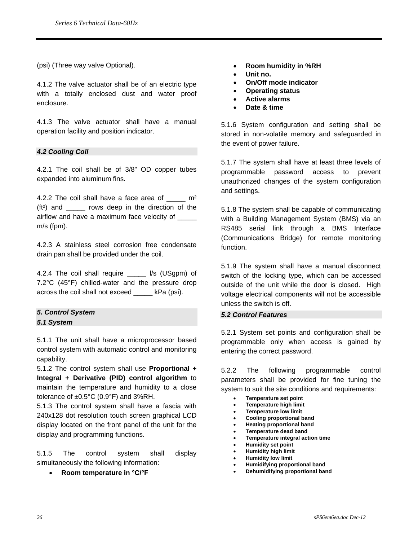(psi) (Three way valve Optional).

4.1.2 The valve actuator shall be of an electric type with a totally enclosed dust and water proof enclosure.

4.1.3 The valve actuator shall have a manual operation facility and position indicator.

#### *4.2 Cooling Coil*

4.2.1 The coil shall be of 3/8" OD copper tubes expanded into aluminum fins.

4.2.2 The coil shall have a face area of  $\mu$  m<sup>2</sup> (ft<sup>2</sup>) and cows deep in the direction of the airflow and have a maximum face velocity of \_\_\_\_\_ m/s (fpm).

4.2.3 A stainless steel corrosion free condensate drain pan shall be provided under the coil.

4.2.4 The coil shall require \_\_\_\_\_ l/s (USgpm) of 7.2°C (45°F) chilled-water and the pressure drop across the coil shall not exceed \_\_\_\_\_ kPa (psi).

### *5. Control System*

*5.1 System* 

5.1.1 The unit shall have a microprocessor based control system with automatic control and monitoring capability.

5.1.2 The control system shall use **Proportional + Integral + Derivative (PID) control algorithm** to maintain the temperature and humidity to a close tolerance of  $\pm 0.5^{\circ}$ C (0.9°F) and 3%RH.

5.1.3 The control system shall have a fascia with 240x128 dot resolution touch screen graphical LCD display located on the front panel of the unit for the display and programming functions.

5.1.5 The control system shall display simultaneously the following information:

• **Room temperature in °C/°F** 

- **Room humidity in %RH**
- **Unit no.**
- **On/Off mode indicator**
- **Operating status**
- **Active alarms**
- **Date & time**

5.1.6 System configuration and setting shall be stored in non-volatile memory and safeguarded in the event of power failure.

5.1.7 The system shall have at least three levels of programmable password access to prevent unauthorized changes of the system configuration and settings.

5.1.8 The system shall be capable of communicating with a Building Management System (BMS) via an RS485 serial link through a BMS Interface (Communications Bridge) for remote monitoring function.

5.1.9 The system shall have a manual disconnect switch of the locking type, which can be accessed outside of the unit while the door is closed. High voltage electrical components will not be accessible unless the switch is off.

#### *5.2 Control Features*

5.2.1 System set points and configuration shall be programmable only when access is gained by entering the correct password.

5.2.2 The following programmable control parameters shall be provided for fine tuning the system to suit the site conditions and requirements:

- **Temperature set point**
- **Temperature high limit**
- **Temperature low limit**
- **Cooling proportional band**
- **Heating proportional band**
- **Temperature dead band**  • **Temperature integral action time**
- **Humidity set point**
- **Humidity high limit**
- **Humidity low limit**
- **Humidifying proportional band**
- **Dehumidifying proportional band**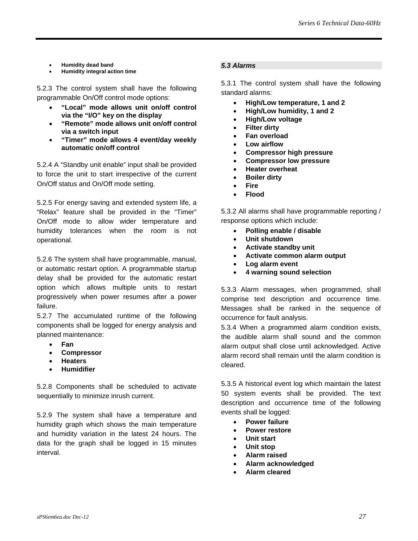- **Humidity dead band**
- **Humidity integral action time**

5.2.3 The control system shall have the following programmable On/Off control mode options:

- **"Local" mode allows unit on/off control via the "I/O" key on the display**
- **"Remote" mode allows unit on/off control via a switch input**
- **"Timer" mode allows 4 event/day weekly automatic on/off control**

5.2.4 A "Standby unit enable" input shall be provided to force the unit to start irrespective of the current On/Off status and On/Off mode setting.

5.2.5 For energy saving and extended system life, a "Relax" feature shall be provided in the "Timer" On/Off mode to allow wider temperature and humidity tolerances when the room is not operational.

5.2.6 The system shall have programmable, manual, or automatic restart option. A programmable startup delay shall be provided for the automatic restart option which allows multiple units to restart progressively when power resumes after a power failure.

5.2.7 The accumulated runtime of the following components shall be logged for energy analysis and planned maintenance:

- **Fan**
- **Compressor**
- **Heaters**
- **Humidifier**

5.2.8 Components shall be scheduled to activate sequentially to minimize inrush current.

5.2.9 The system shall have a temperature and humidity graph which shows the main temperature and humidity variation in the latest 24 hours. The data for the graph shall be logged in 15 minutes interval.

#### *5.3 Alarms*

5.3.1 The control system shall have the following standard alarms:

- **High/Low temperature, 1 and 2**
- **High/Low humidity, 1 and 2**
- **High/Low voltage**
- **Filter dirty**
- **Fan overload**
- **Low airflow**
- **Compressor high pressure**
- **Compressor low pressure**
- **Heater overheat**
- **Boiler dirty**
- **Fire**
- **Flood**

5.3.2 All alarms shall have programmable reporting / response options which include:

- **Polling enable / disable**
- **Unit shutdown**
- **Activate standby unit**
- **Activate common alarm output**
- **Log alarm event**
- **4 warning sound selection**

5.3.3 Alarm messages, when programmed, shall comprise text description and occurrence time. Messages shall be ranked in the sequence of occurrence for fault analysis.

5.3.4 When a programmed alarm condition exists, the audible alarm shall sound and the common alarm output shall close until acknowledged. Active alarm record shall remain until the alarm condition is cleared.

5.3.5 A historical event log which maintain the latest 50 system events shall be provided. The text description and occurrence time of the following events shall be logged:

- **Power failure**
- **Power restore**
- **Unit start**
- **Unit stop**
- **Alarm raised**
- **Alarm acknowledged**
- **Alarm cleared**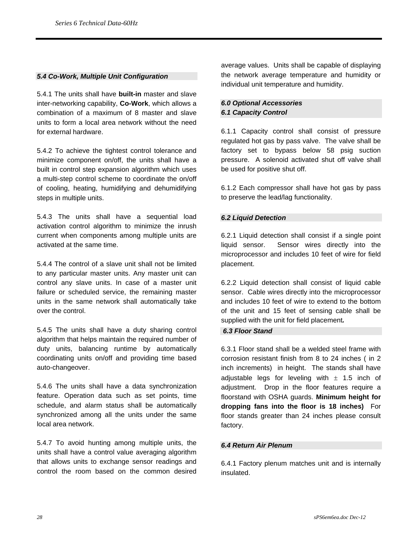#### *5.4 Co-Work, Multiple Unit Configuration*

5.4.1 The units shall have **built-in** master and slave inter-networking capability, **Co-Work**, which allows a combination of a maximum of 8 master and slave units to form a local area network without the need for external hardware.

5.4.2 To achieve the tightest control tolerance and minimize component on/off, the units shall have a built in control step expansion algorithm which uses a multi-step control scheme to coordinate the on/off of cooling, heating, humidifying and dehumidifying steps in multiple units.

5.4.3 The units shall have a sequential load activation control algorithm to minimize the inrush current when components among multiple units are activated at the same time.

5.4.4 The control of a slave unit shall not be limited to any particular master units. Any master unit can control any slave units. In case of a master unit failure or scheduled service, the remaining master units in the same network shall automatically take over the control.

5.4.5 The units shall have a duty sharing control algorithm that helps maintain the required number of duty units, balancing runtime by automatically coordinating units on/off and providing time based auto-changeover.

5.4.6 The units shall have a data synchronization feature. Operation data such as set points, time schedule, and alarm status shall be automatically synchronized among all the units under the same local area network.

5.4.7 To avoid hunting among multiple units, the units shall have a control value averaging algorithm that allows units to exchange sensor readings and control the room based on the common desired

average values. Units shall be capable of displaying the network average temperature and humidity or individual unit temperature and humidity.

#### *6.0 Optional Accessories 6.1 Capacity Control*

6.1.1 Capacity control shall consist of pressure regulated hot gas by pass valve. The valve shall be factory set to bypass below 58 psig suction pressure. A solenoid activated shut off valve shall be used for positive shut off.

6.1.2 Each compressor shall have hot gas by pass to preserve the lead/lag functionality.

#### *6.2 Liquid Detection*

6.2.1 Liquid detection shall consist if a single point liquid sensor. Sensor wires directly into the microprocessor and includes 10 feet of wire for field placement.

6.2.2 Liquid detection shall consist of liquid cable sensor. Cable wires directly into the microprocessor and includes 10 feet of wire to extend to the bottom of the unit and 15 feet of sensing cable shall be supplied with the unit for field placement*.* 

#### *6.3 Floor Stand*

6.3.1 Floor stand shall be a welded steel frame with corrosion resistant finish from 8 to 24 inches ( in 2 inch increments) in height. The stands shall have adjustable legs for leveling with  $\pm$  1.5 inch of adjustment. Drop in the floor features require a floorstand with OSHA guards. **Minimum height for dropping fans into the floor is 18 inches)** For floor stands greater than 24 inches please consult factory.

#### *6.4 Return Air Plenum*

6.4.1 Factory plenum matches unit and is internally insulated.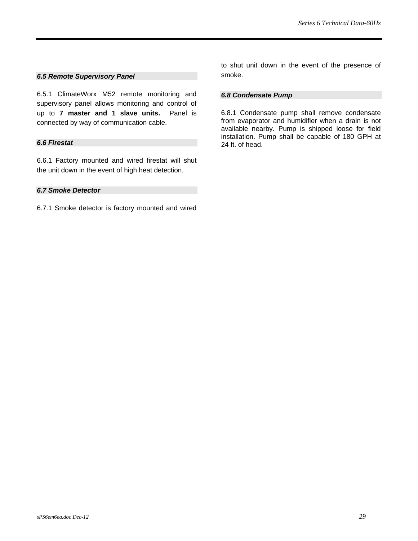#### *6.5 Remote Supervisory Panel*

6.5.1 ClimateWorx M52 remote monitoring and supervisory panel allows monitoring and control of up to **7 master and 1 slave units.** Panel is connected by way of communication cable.

#### *6.6 Firestat*

6.6.1 Factory mounted and wired firestat will shut the unit down in the event of high heat detection.

#### *6.7 Smoke Detector*

6.7.1 Smoke detector is factory mounted and wired

to shut unit down in the event of the presence of smoke.

#### *6.8 Condensate Pump*

6.8.1 Condensate pump shall remove condensate from evaporator and humidifier when a drain is not available nearby. Pump is shipped loose for field installation. Pump shall be capable of 180 GPH at 24 ft. of head.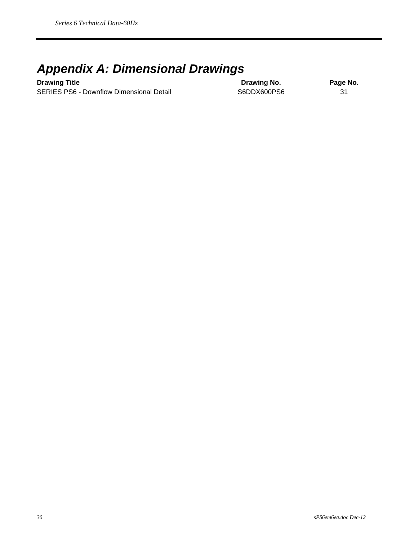### *Appendix A: Dimensional Drawings*

**Drawing Title Contract Contract Contract Contract Contract Contract Contract Contract Contract Contract Contract Contract Contract Contract Contract Contract Contract Contract Contract Contract Contract Contract Contract** SERIES PS6 - Downflow Dimensional Detail S6DDX600PS6 31